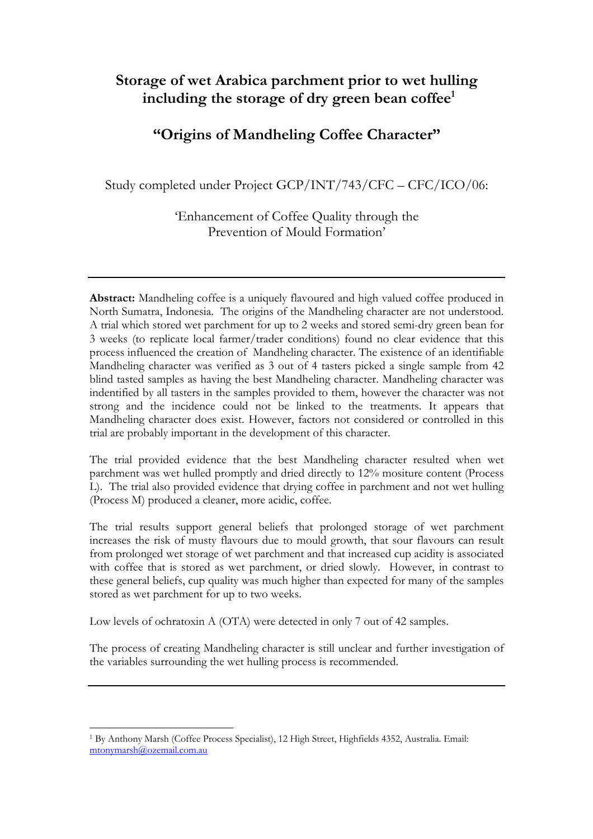# **Storage of wet Arabica parchment prior to wet hulling including the storage of dry green bean coffee[1](#page-0-0)**

# **"Origins of Mandheling Coffee Character"**

Study completed under Project GCP/INT/743/CFC – CFC/ICO/06:

'Enhancement of Coffee Quality through the Prevention of Mould Formation'

**Abstract:** Mandheling coffee is a uniquely flavoured and high valued coffee produced in North Sumatra, Indonesia. The origins of the Mandheling character are not understood. A trial which stored wet parchment for up to 2 weeks and stored semi-dry green bean for 3 weeks (to replicate local farmer/trader conditions) found no clear evidence that this process influenced the creation of Mandheling character. The existence of an identifiable Mandheling character was verified as 3 out of 4 tasters picked a single sample from 42 blind tasted samples as having the best Mandheling character. Mandheling character was indentified by all tasters in the samples provided to them, however the character was not strong and the incidence could not be linked to the treatments. It appears that Mandheling character does exist. However, factors not considered or controlled in this trial are probably important in the development of this character.

The trial provided evidence that the best Mandheling character resulted when wet parchment was wet hulled promptly and dried directly to 12% mositure content (Process L). The trial also provided evidence that drying coffee in parchment and not wet hulling (Process M) produced a cleaner, more acidic, coffee.

The trial results support general beliefs that prolonged storage of wet parchment increases the risk of musty flavours due to mould growth, that sour flavours can result from prolonged wet storage of wet parchment and that increased cup acidity is associated with coffee that is stored as wet parchment, or dried slowly. However, in contrast to these general beliefs, cup quality was much higher than expected for many of the samples stored as wet parchment for up to two weeks.

Low levels of ochratoxin A (OTA) were detected in only 7 out of 42 samples.

The process of creating Mandheling character is still unclear and further investigation of the variables surrounding the wet hulling process is recommended.

 $\overline{a}$ 

<span id="page-0-0"></span><sup>1</sup> By Anthony Marsh (Coffee Process Specialist), 12 High Street, Highfields 4352, Australia. Email: [mtonymarsh@ozemail.com.au](mailto:mtonymarsh@ozemail.com.au)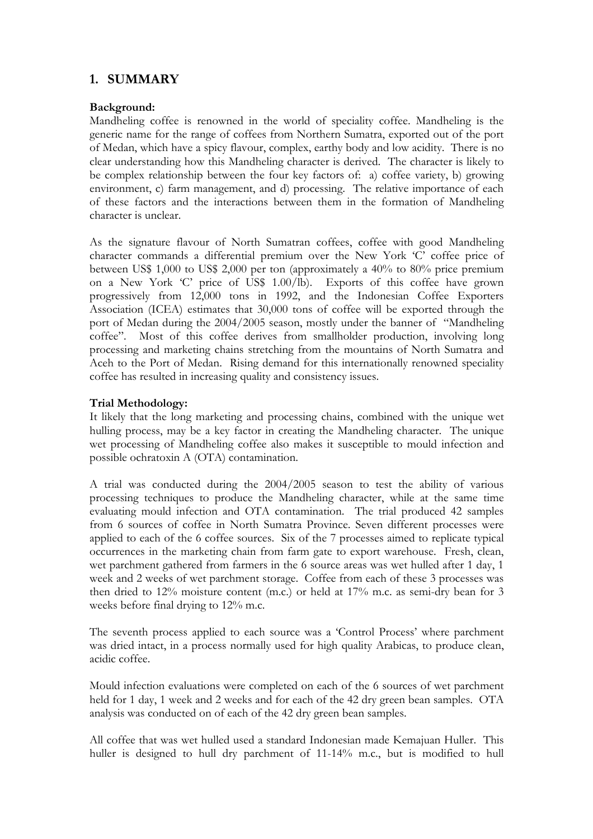## **1. SUMMARY**

### **Background:**

Mandheling coffee is renowned in the world of speciality coffee. Mandheling is the generic name for the range of coffees from Northern Sumatra, exported out of the port of Medan, which have a spicy flavour, complex, earthy body and low acidity. There is no clear understanding how this Mandheling character is derived. The character is likely to be complex relationship between the four key factors of: a) coffee variety, b) growing environment, c) farm management, and d) processing. The relative importance of each of these factors and the interactions between them in the formation of Mandheling character is unclear.

As the signature flavour of North Sumatran coffees, coffee with good Mandheling character commands a differential premium over the New York 'C' coffee price of between US\$ 1,000 to US\$ 2,000 per ton (approximately a 40% to 80% price premium on a New York 'C' price of US\$ 1.00/lb). Exports of this coffee have grown progressively from 12,000 tons in 1992, and the Indonesian Coffee Exporters Association (ICEA) estimates that 30,000 tons of coffee will be exported through the port of Medan during the 2004/2005 season, mostly under the banner of "Mandheling coffee". Most of this coffee derives from smallholder production, involving long processing and marketing chains stretching from the mountains of North Sumatra and Aceh to the Port of Medan. Rising demand for this internationally renowned speciality coffee has resulted in increasing quality and consistency issues.

## **Trial Methodology:**

It likely that the long marketing and processing chains, combined with the unique wet hulling process, may be a key factor in creating the Mandheling character. The unique wet processing of Mandheling coffee also makes it susceptible to mould infection and possible ochratoxin A (OTA) contamination.

A trial was conducted during the 2004/2005 season to test the ability of various processing techniques to produce the Mandheling character, while at the same time evaluating mould infection and OTA contamination. The trial produced 42 samples from 6 sources of coffee in North Sumatra Province. Seven different processes were applied to each of the 6 coffee sources. Six of the 7 processes aimed to replicate typical occurrences in the marketing chain from farm gate to export warehouse. Fresh, clean, wet parchment gathered from farmers in the 6 source areas was wet hulled after 1 day, 1 week and 2 weeks of wet parchment storage. Coffee from each of these 3 processes was then dried to 12% moisture content (m.c.) or held at 17% m.c. as semi-dry bean for 3 weeks before final drying to 12% m.c.

The seventh process applied to each source was a 'Control Process' where parchment was dried intact, in a process normally used for high quality Arabicas, to produce clean, acidic coffee.

Mould infection evaluations were completed on each of the 6 sources of wet parchment held for 1 day, 1 week and 2 weeks and for each of the 42 dry green bean samples. OTA analysis was conducted on of each of the 42 dry green bean samples.

All coffee that was wet hulled used a standard Indonesian made Kemajuan Huller. This huller is designed to hull dry parchment of 11-14% m.c., but is modified to hull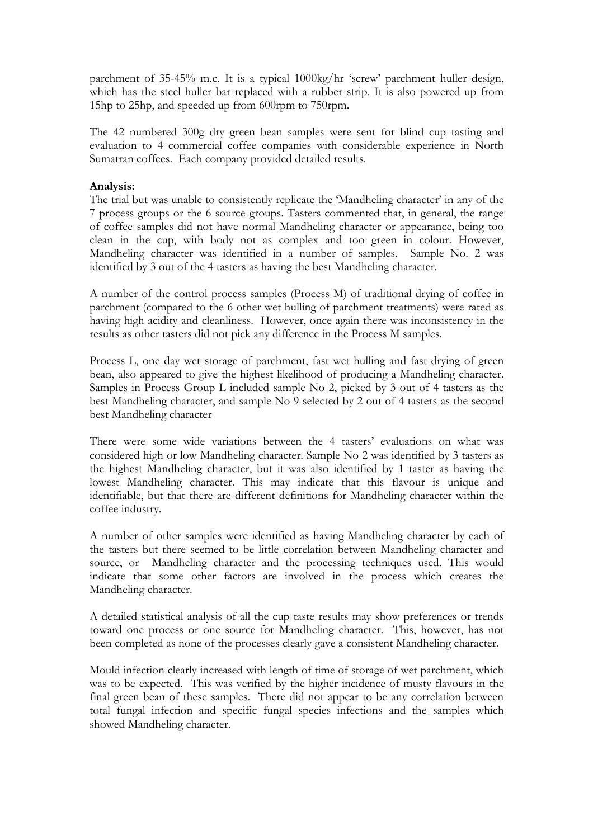parchment of 35-45% m.c. It is a typical 1000kg/hr 'screw' parchment huller design, which has the steel huller bar replaced with a rubber strip. It is also powered up from 15hp to 25hp, and speeded up from 600rpm to 750rpm.

The 42 numbered 300g dry green bean samples were sent for blind cup tasting and evaluation to 4 commercial coffee companies with considerable experience in North Sumatran coffees. Each company provided detailed results.

#### **Analysis:**

The trial but was unable to consistently replicate the 'Mandheling character' in any of the 7 process groups or the 6 source groups. Tasters commented that, in general, the range of coffee samples did not have normal Mandheling character or appearance, being too clean in the cup, with body not as complex and too green in colour. However, Mandheling character was identified in a number of samples. Sample No. 2 was identified by 3 out of the 4 tasters as having the best Mandheling character.

A number of the control process samples (Process M) of traditional drying of coffee in parchment (compared to the 6 other wet hulling of parchment treatments) were rated as having high acidity and cleanliness. However, once again there was inconsistency in the results as other tasters did not pick any difference in the Process M samples.

Process L, one day wet storage of parchment, fast wet hulling and fast drying of green bean, also appeared to give the highest likelihood of producing a Mandheling character. Samples in Process Group L included sample No 2, picked by 3 out of 4 tasters as the best Mandheling character, and sample No 9 selected by 2 out of 4 tasters as the second best Mandheling character

There were some wide variations between the 4 tasters' evaluations on what was considered high or low Mandheling character. Sample No 2 was identified by 3 tasters as the highest Mandheling character, but it was also identified by 1 taster as having the lowest Mandheling character. This may indicate that this flavour is unique and identifiable, but that there are different definitions for Mandheling character within the coffee industry.

A number of other samples were identified as having Mandheling character by each of the tasters but there seemed to be little correlation between Mandheling character and source, or Mandheling character and the processing techniques used. This would indicate that some other factors are involved in the process which creates the Mandheling character.

A detailed statistical analysis of all the cup taste results may show preferences or trends toward one process or one source for Mandheling character. This, however, has not been completed as none of the processes clearly gave a consistent Mandheling character.

Mould infection clearly increased with length of time of storage of wet parchment, which was to be expected. This was verified by the higher incidence of musty flavours in the final green bean of these samples. There did not appear to be any correlation between total fungal infection and specific fungal species infections and the samples which showed Mandheling character.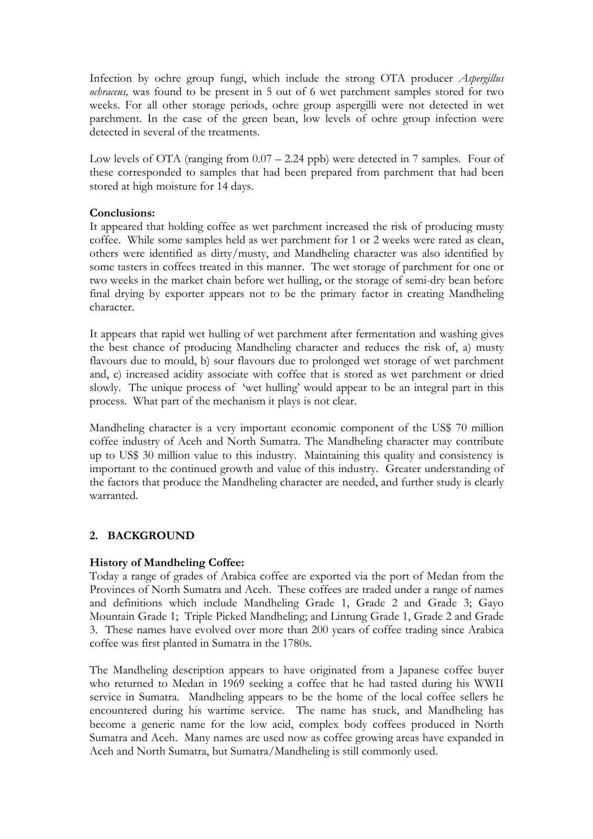Infection by ochre group fungi, which include the strong OTA producer *Aspergillus ochraceus,* was found to be present in 5 out of 6 wet parchment samples stored for two weeks. For all other storage periods, ochre group aspergilli were not detected in wet parchment. In the case of the green bean, low levels of ochre group infection were detected in several of the treatments.

Low levels of OTA (ranging from 0.07 – 2.24 ppb) were detected in 7 samples. Four of these corresponded to samples that had been prepared from parchment that had been stored at high moisture for 14 days.

#### **Conclusions:**

It appeared that holding coffee as wet parchment increased the risk of producing musty coffee. While some samples held as wet parchment for 1 or 2 weeks were rated as clean, others were identified as dirty/musty, and Mandheling character was also identified by some tasters in coffees treated in this manner. The wet storage of parchment for one or two weeks in the market chain before wet hulling, or the storage of semi-dry bean before final drying by exporter appears not to be the primary factor in creating Mandheling character.

It appears that rapid wet hulling of wet parchment after fermentation and washing gives the best chance of producing Mandheling character and reduces the risk of, a) musty flavours due to mould, b) sour flavours due to prolonged wet storage of wet parchment and, c) increased acidity associate with coffee that is stored as wet parchment or dried slowly. The unique process of 'wet hulling' would appear to be an integral part in this process. What part of the mechanism it plays is not clear.

Mandheling character is a very important economic component of the US\$ 70 million coffee industry of Aceh and North Sumatra. The Mandheling character may contribute up to US\$ 30 million value to this industry. Maintaining this quality and consistency is important to the continued growth and value of this industry. Greater understanding of the factors that produce the Mandheling character are needed, and further study is clearly warranted.

#### **2. BACKGROUND**

#### **History of Mandheling Coffee:**

Today a range of grades of Arabica coffee are exported via the port of Medan from the Provinces of North Sumatra and Aceh. These coffees are traded under a range of names and definitions which include Mandheling Grade 1, Grade 2 and Grade 3; Gayo Mountain Grade 1; Triple Picked Mandheling; and Lintung Grade 1, Grade 2 and Grade 3. These names have evolved over more than 200 years of coffee trading since Arabica coffee was first planted in Sumatra in the 1780s.

The Mandheling description appears to have originated from a Japanese coffee buyer who returned to Medan in 1969 seeking a coffee that he had tasted during his WWII service in Sumatra. Mandheling appears to be the home of the local coffee sellers he encountered during his wartime service. The name has stuck, and Mandheling has become a generic name for the low acid, complex body coffees produced in North Sumatra and Aceh. Many names are used now as coffee growing areas have expanded in Aceh and North Sumatra, but Sumatra/Mandheling is still commonly used.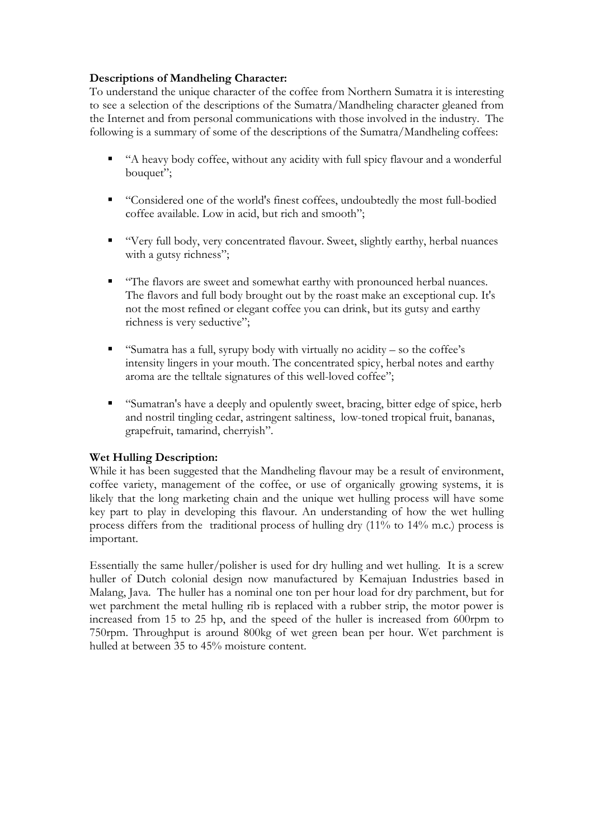## **Descriptions of Mandheling Character:**

To understand the unique character of the coffee from Northern Sumatra it is interesting to see a selection of the descriptions of the Sumatra/Mandheling character gleaned from the Internet and from personal communications with those involved in the industry. The following is a summary of some of the descriptions of the Sumatra/Mandheling coffees:

- "A heavy body coffee, without any acidity with full spicy flavour and a wonderful bouquet":
- "Considered one of the world's finest coffees, undoubtedly the most full-bodied coffee available. Low in acid, but rich and smooth";
- "Very full body, very concentrated flavour. Sweet, slightly earthy, herbal nuances with a gutsy richness";
- "The flavors are sweet and somewhat earthy with pronounced herbal nuances. The flavors and full body brought out by the roast make an exceptional cup. It's not the most refined or elegant coffee you can drink, but its gutsy and earthy richness is very seductive".
- "Sumatra has a full, syrupy body with virtually no acidity so the coffee's intensity lingers in your mouth. The concentrated spicy, herbal notes and earthy aroma are the telltale signatures of this well-loved coffee";
- "Sumatran's have a deeply and opulently sweet, bracing, bitter edge of spice, herb and nostril tingling cedar, astringent saltiness, low-toned tropical fruit, bananas, grapefruit, tamarind, cherryish".

#### **Wet Hulling Description:**

While it has been suggested that the Mandheling flavour may be a result of environment, coffee variety, management of the coffee, or use of organically growing systems, it is likely that the long marketing chain and the unique wet hulling process will have some key part to play in developing this flavour. An understanding of how the wet hulling process differs from the traditional process of hulling dry (11% to 14% m.c.) process is important.

Essentially the same huller/polisher is used for dry hulling and wet hulling. It is a screw huller of Dutch colonial design now manufactured by Kemajuan Industries based in Malang, Java. The huller has a nominal one ton per hour load for dry parchment, but for wet parchment the metal hulling rib is replaced with a rubber strip, the motor power is increased from 15 to 25 hp, and the speed of the huller is increased from 600rpm to 750rpm. Throughput is around 800kg of wet green bean per hour. Wet parchment is hulled at between 35 to 45% moisture content.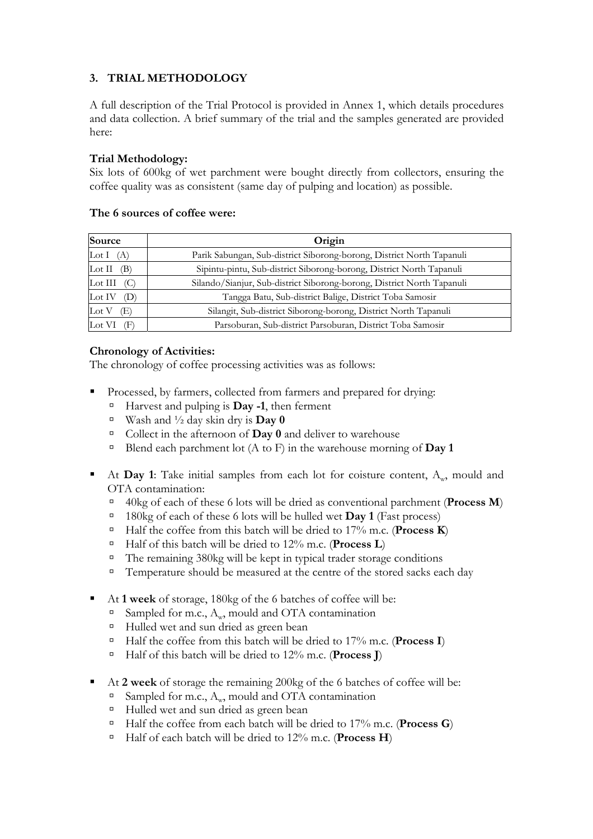## **3. TRIAL METHODOLOGY**

A full description of the Trial Protocol is provided in Annex 1, which details procedures and data collection. A brief summary of the trial and the samples generated are provided here:

## **Trial Methodology:**

Six lots of 600kg of wet parchment were bought directly from collectors, ensuring the coffee quality was as consistent (same day of pulping and location) as possible.

#### **The 6 sources of coffee were:**

| Source                                | Origin                                                                 |
|---------------------------------------|------------------------------------------------------------------------|
| $\operatorname{Lot} \mathrm I$<br>(A) | Parik Sabungan, Sub-district Siborong-borong, District North Tapanuli  |
| $\rm Lot~II$<br>в                     | Sipintu-pintu, Sub-district Siborong-borong, District North Tapanuli   |
| $_{\rm Lot\,III}$                     | Silando/Sianjur, Sub-district Siborong-borong, District North Tapanuli |
| Lot IV<br>I)                          | Tangga Batu, Sub-district Balige, District Toba Samosir                |
| $\operatorname{Lot}$ V<br>B           | Silangit, Sub-district Siborong-borong, District North Tapanuli        |
| Lot VI                                | Parsoburan, Sub-district Parsoburan, District Toba Samosir             |

## **Chronology of Activities:**

The chronology of coffee processing activities was as follows:

- Processed, by farmers, collected from farmers and prepared for drying:
	- à Harvest and pulping is **Day -1**, then ferment
	- $\overline{\phantom{a}}$  Wash and  $\frac{1}{2}$  day skin dry is **Day 0**
	- à Collect in the afternoon of **Day 0** and deliver to warehouse
	- $\Box$  Blend each parchment lot (A to F) in the warehouse morning of **Day 1**
- At **Day 1**: Take initial samples from each lot for coisture content,  $A_w$ , mould and OTA contamination:
	- à 40kg of each of these 6 lots will be dried as conventional parchment (**Process M**)
	- à 180kg of each of these 6 lots will be hulled wet **Day 1** (Fast process)
	- à Half the coffee from this batch will be dried to 17% m.c. (**Process K**)
	- <sup> $\Box$ **</sup>** Half of this batch will be dried to 12% m.c. (**Process L**)</sup>
	- $\Box$  The remaining 380kg will be kept in typical trader storage conditions
	- $\Box$  Temperature should be measured at the centre of the stored sacks each day
- At **1 week** of storage, 180kg of the 6 batches of coffee will be:
	- <sup> $\Box$ </sup> Sampled for m.c.,  $A_w$ , mould and OTA contamination
	- <sup>□</sup> Hulled wet and sun dried as green bean
	- à Half the coffee from this batch will be dried to 17% m.c. (**Process I**)
	- à Half of this batch will be dried to 12% m.c. (**Process J**)
- At 2 week of storage the remaining 200kg of the 6 batches of coffee will be:
	- $\Box$  Sampled for m.c., A<sub>w</sub>, mould and OTA contamination
	- <sup>□</sup> Hulled wet and sun dried as green bean
	- à Half the coffee from each batch will be dried to 17% m.c. (**Process G**)
	- à Half of each batch will be dried to 12% m.c. (**Process H**)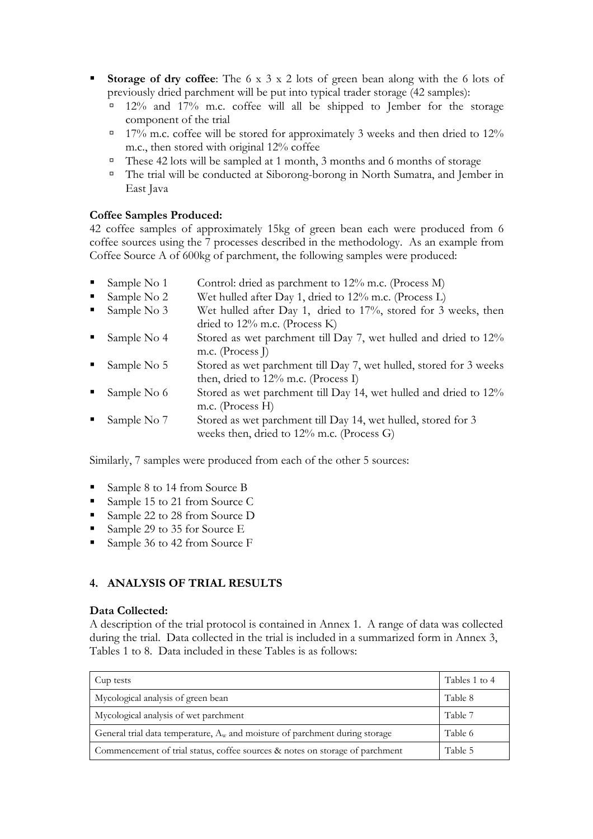- **Storage of dry coffee**: The 6 x 3 x 2 lots of green bean along with the 6 lots of previously dried parchment will be put into typical trader storage (42 samples):
	- $\frac{12\%}{\%}$  and 17% m.c. coffee will all be shipped to Jember for the storage component of the trial
	- $\degree$  17% m.c. coffee will be stored for approximately 3 weeks and then dried to 12% m.c., then stored with original 12% coffee
	- <sup> $\Box$ </sup> These 42 lots will be sampled at 1 month, 3 months and 6 months of storage
	- à The trial will be conducted at Siborong-borong in North Sumatra, and Jember in East Java

## **Coffee Samples Produced:**

42 coffee samples of approximately 15kg of green bean each were produced from 6 coffee sources using the 7 processes described in the methodology. As an example from Coffee Source A of 600kg of parchment, the following samples were produced:

- Sample No 1 Control: dried as parchment to 12% m.c. (Process M)
- Sample No 2 Wet hulled after Day 1, dried to 12% m.c. (Process L)
- Sample No 3 Wet hulled after Day 1, dried to 17%, stored for 3 weeks, then dried to 12% m.c. (Process K)
- Sample No 4 Stored as wet parchment till Day 7, wet hulled and dried to 12% m.c. (Process J)
- Sample No 5 Stored as wet parchment till Day 7, wet hulled, stored for 3 weeks then, dried to 12% m.c. (Process I)
- Sample No 6 Stored as wet parchment till Day 14, wet hulled and dried to 12% m.c. (Process H)
- Sample No 7 Stored as wet parchment till Day 14, wet hulled, stored for 3 weeks then, dried to 12% m.c. (Process G)

Similarly, 7 samples were produced from each of the other 5 sources:

- Sample 8 to 14 from Source B
- Sample 15 to 21 from Source C
- Sample 22 to 28 from Source D
- Sample 29 to 35 for Source E
- Sample 36 to 42 from Source F

## **4. ANALYSIS OF TRIAL RESULTS**

#### **Data Collected:**

A description of the trial protocol is contained in Annex 1. A range of data was collected during the trial. Data collected in the trial is included in a summarized form in Annex 3, Tables 1 to 8. Data included in these Tables is as follows:

| Cup tests                                                                      | Tables 1 to 4 |
|--------------------------------------------------------------------------------|---------------|
| Mycological analysis of green bean                                             | Table 8       |
| Mycological analysis of wet parchment                                          | Table 7       |
| General trial data temperature, $A_w$ and moisture of parchment during storage | Table 6       |
| Commencement of trial status, coffee sources & notes on storage of parchment   | Table 5       |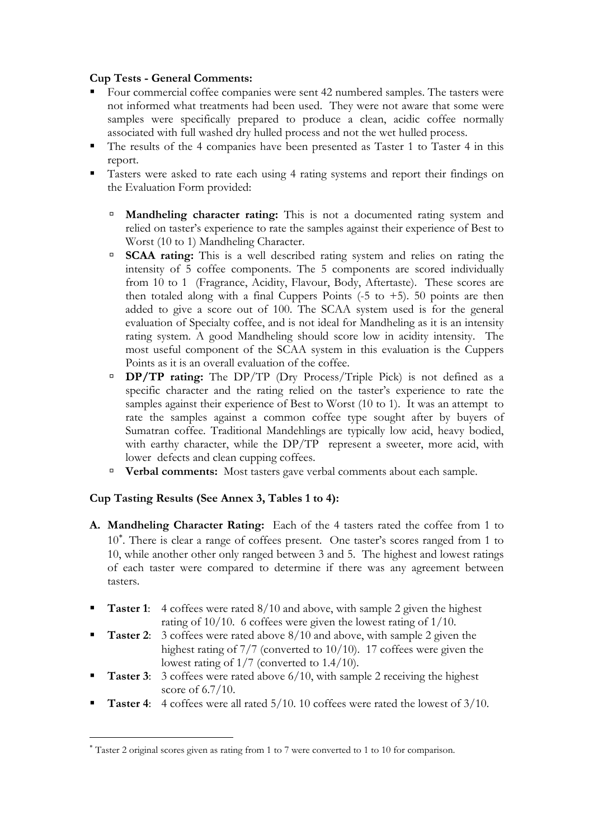## **Cup Tests - General Comments:**

- Four commercial coffee companies were sent 42 numbered samples. The tasters were not informed what treatments had been used. They were not aware that some were samples were specifically prepared to produce a clean, acidic coffee normally associated with full washed dry hulled process and not the wet hulled process.
- The results of the 4 companies have been presented as Taster 1 to Taster 4 in this report.
- Tasters were asked to rate each using 4 rating systems and report their findings on the Evaluation Form provided:
	- à **Mandheling character rating:** This is not a documented rating system and relied on taster's experience to rate the samples against their experience of Best to Worst (10 to 1) Mandheling Character.
	- <sup>**BCAA rating:** This is a well described rating system and relies on rating the</sup> intensity of 5 coffee components. The 5 components are scored individually from 10 to 1 (Fragrance, Acidity, Flavour, Body, Aftertaste). These scores are then totaled along with a final Cuppers Points  $(-5 \text{ to } +5)$ . 50 points are then added to give a score out of 100. The SCAA system used is for the general evaluation of Specialty coffee, and is not ideal for Mandheling as it is an intensity rating system. A good Mandheling should score low in acidity intensity. The most useful component of the SCAA system in this evaluation is the Cuppers Points as it is an overall evaluation of the coffee.
	- à **DP/TP rating:** The DP/TP (Dry Process/Triple Pick) is not defined as a specific character and the rating relied on the taster's experience to rate the samples against their experience of Best to Worst (10 to 1). It was an attempt to rate the samples against a common coffee type sought after by buyers of Sumatran coffee. Traditional Mandehlings are typically low acid, heavy bodied, with earthy character, while the DP/TP represent a sweeter, more acid, with lower defects and clean cupping coffees.
	- à **Verbal comments:** Most tasters gave verbal comments about each sample.

## **Cup Tasting Results (See Annex 3, Tables 1 to 4):**

 $\overline{a}$ 

- **A. Mandheling Character Rating:** Each of the 4 tasters rated the coffee from 1 to 10<sup>\*</sup>. There is clear a range of coffees present. One taster's scores ranged from 1 to 10, while another other only ranged between 3 and 5. The highest and lowest ratings of each taster were compared to determine if there was any agreement between tasters.
- **Taster 1:** 4 coffees were rated 8/10 and above, with sample 2 given the highest rating of 10/10. 6 coffees were given the lowest rating of 1/10.
- **Taster 2**: 3 coffees were rated above 8/10 and above, with sample 2 given the highest rating of 7/7 (converted to 10/10). 17 coffees were given the lowest rating of 1/7 (converted to 1.4/10).
- **Taster 3:** 3 coffees were rated above 6/10, with sample 2 receiving the highest score of 6.7/10.
- **Taster 4**: 4 coffees were all rated 5/10. 10 coffees were rated the lowest of 3/10.

<span id="page-7-0"></span><sup>∗</sup> Taster 2 original scores given as rating from 1 to 7 were converted to 1 to 10 for comparison.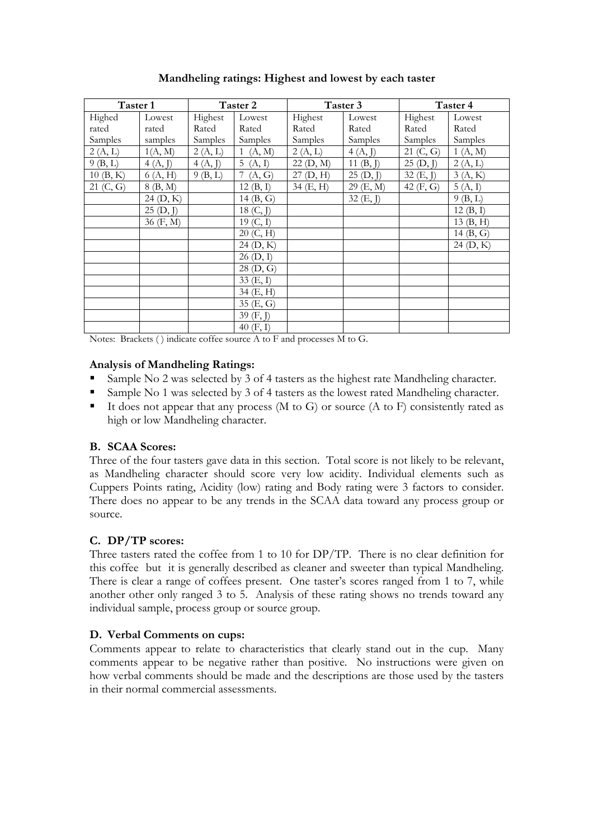| Taster 1  |           |         | Taster 2    |           | Taster 3               |             | Taster 4    |
|-----------|-----------|---------|-------------|-----------|------------------------|-------------|-------------|
| Highed    | Lowest    | Highest | Lowest      | Highest   | Lowest                 | Highest     | Lowest      |
| rated     | rated     | Rated   | Rated       | Rated     | Rated                  | Rated       | Rated       |
| Samples   | samples   | Samples | Samples     | Samples   | Samples                | Samples     | Samples     |
| 2(A, L)   | 1(A, M)   | 2(A, L) | 1(A, M)     | 2(A, L)   | 4(A, J)                | 21 (C, G)   | 1(A, M)     |
| 9(B, L)   | 4(A, J)   | 4(A, J) | 5(A, I)     | 22 (D, M) | $\overline{1}1$ (B, J) | 25(D, J)    | 2(A, L)     |
| 10(B, K)  | 6(A, H)   | 9(B,L)  | (A, G)      | 27(D, H)  | 25(D, J)               | 32(E, J)    | 3(A, K)     |
| 21 (C, G) | 8 (B, M)  |         | 12(B, I)    | 34 (E, H) | 29 (E, M)              | 42 $(F, G)$ | 5(A, I)     |
|           | 24(D, K)  |         | 14(B, G)    |           | 32 (E, J)              |             | 9(B, L)     |
|           | 25(D, J)  |         | 18 (C, J)   |           |                        |             | 12(B, I)    |
|           | 36 (F, M) |         | 19(G, I)    |           |                        |             | 13(B, H)    |
|           |           |         | 20 (C, H)   |           |                        |             | 14 $(B, G)$ |
|           |           |         | 24 (D, K)   |           |                        |             | 24(D, K)    |
|           |           |         | 26 (D, I)   |           |                        |             |             |
|           |           |         | $28$ (D, G) |           |                        |             |             |
|           |           |         | 33 (E, I)   |           |                        |             |             |
|           |           |         | 34 (E, H)   |           |                        |             |             |
|           |           |         | 35 (E, G)   |           |                        |             |             |
|           |           |         | 39 (F, J)   |           |                        |             |             |
|           |           |         | 40 $(F, I)$ |           |                        |             |             |

**Mandheling ratings: Highest and lowest by each taster** 

Notes: Brackets ( ) indicate coffee source A to F and processes M to G.

#### **Analysis of Mandheling Ratings:**

- Sample No 2 was selected by 3 of 4 tasters as the highest rate Mandheling character.
- Sample No 1 was selected by 3 of 4 tasters as the lowest rated Mandheling character.
- It does not appear that any process (M to G) or source (A to F) consistently rated as high or low Mandheling character.

#### **B. SCAA Scores:**

Three of the four tasters gave data in this section. Total score is not likely to be relevant, as Mandheling character should score very low acidity. Individual elements such as Cuppers Points rating, Acidity (low) rating and Body rating were 3 factors to consider. There does no appear to be any trends in the SCAA data toward any process group or source.

#### **C. DP/TP scores:**

Three tasters rated the coffee from 1 to 10 for DP/TP. There is no clear definition for this coffee but it is generally described as cleaner and sweeter than typical Mandheling. There is clear a range of coffees present. One taster's scores ranged from 1 to 7, while another other only ranged 3 to 5. Analysis of these rating shows no trends toward any individual sample, process group or source group.

#### **D. Verbal Comments on cups:**

Comments appear to relate to characteristics that clearly stand out in the cup. Many comments appear to be negative rather than positive. No instructions were given on how verbal comments should be made and the descriptions are those used by the tasters in their normal commercial assessments.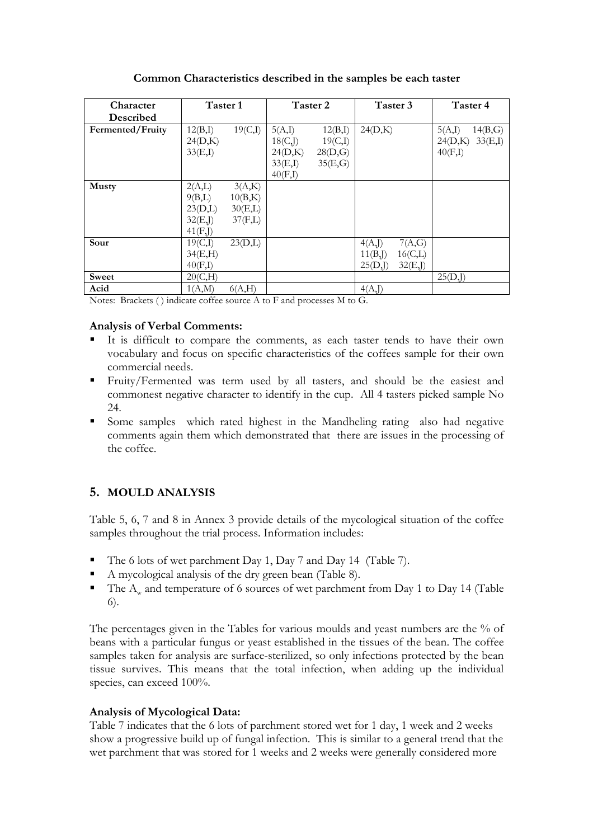| <b>Character</b> | Taster 1                                            |                                         |                               | Taster 2                      |                                 | Taster 3                         | Taster 4          |                               |
|------------------|-----------------------------------------------------|-----------------------------------------|-------------------------------|-------------------------------|---------------------------------|----------------------------------|-------------------|-------------------------------|
| Described        |                                                     |                                         |                               |                               |                                 |                                  |                   |                               |
| Fermented/Fruity | 12(B,I)<br>24(D,K)                                  | 19(C,I)                                 | 5(A,I)<br>18(C, J)            | 12(B,I)<br>19(C,I)            | 24(D,K)                         |                                  | 5(A,I)<br>24(D,K) | $14(B,\mathrm{G})$<br>33(E,I) |
|                  | 33(E,I)                                             |                                         | 24(D,K)<br>33(E,I)<br>40(F,I) | $28(D,\mathrm{G})$<br>35(E,G) |                                 |                                  | 40(F,I)           |                               |
| <b>Musty</b>     | 2(A,L)<br>9(B,L)<br>23(D,L)<br>32(E, J)<br>41(F, J) | 3(A,K)<br>10(B,K)<br>30(E,L)<br>37(F,L) |                               |                               |                                 |                                  |                   |                               |
| Sour             | 19(C,I)<br>34(E,H)<br>40(F,I)                       | 23(D,L)                                 |                               |                               | 4(A, J)<br>11(B, J)<br>25(D, J) | 7(A,G)<br>$16$ (C,L)<br>32(E, J) |                   |                               |
| Sweet            | 20(C,H)                                             |                                         |                               |                               |                                 |                                  | 25(D, J)          |                               |
| Acid             | 1(A,M)                                              | 6(A,H)                                  |                               |                               | 4(A, J)                         |                                  |                   |                               |

#### **Common Characteristics described in the samples be each taster**

Notes: Brackets ( ) indicate coffee source A to F and processes M to G.

#### **Analysis of Verbal Comments:**

- It is difficult to compare the comments, as each taster tends to have their own vocabulary and focus on specific characteristics of the coffees sample for their own commercial needs.
- Fruity/Fermented was term used by all tasters, and should be the easiest and commonest negative character to identify in the cup. All 4 tasters picked sample No 24.
- Some samples which rated highest in the Mandheling rating also had negative comments again them which demonstrated that there are issues in the processing of the coffee.

## **5. MOULD ANALYSIS**

Table 5, 6, 7 and 8 in Annex 3 provide details of the mycological situation of the coffee samples throughout the trial process. Information includes:

- The 6 lots of wet parchment Day 1, Day 7 and Day 14 (Table 7).
- A mycological analysis of the dry green bean (Table 8).
- The  $A<sub>w</sub>$  and temperature of 6 sources of wet parchment from Day 1 to Day 14 (Table 6).

The percentages given in the Tables for various moulds and yeast numbers are the % of beans with a particular fungus or yeast established in the tissues of the bean. The coffee samples taken for analysis are surface-sterilized, so only infections protected by the bean tissue survives. This means that the total infection, when adding up the individual species, can exceed 100%.

#### **Analysis of Mycological Data:**

Table 7 indicates that the 6 lots of parchment stored wet for 1 day, 1 week and 2 weeks show a progressive build up of fungal infection. This is similar to a general trend that the wet parchment that was stored for 1 weeks and 2 weeks were generally considered more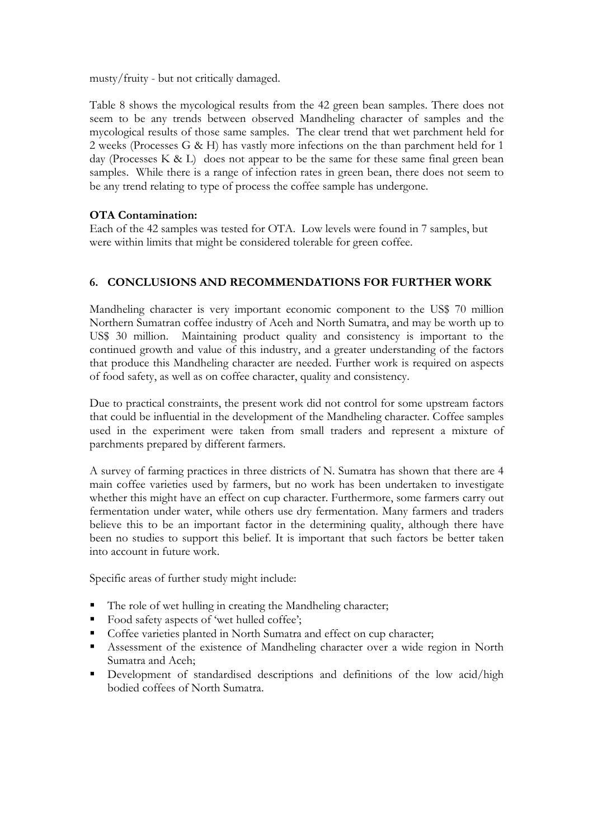musty/fruity - but not critically damaged.

Table 8 shows the mycological results from the 42 green bean samples. There does not seem to be any trends between observed Mandheling character of samples and the mycological results of those same samples. The clear trend that wet parchment held for 2 weeks (Processes G & H) has vastly more infections on the than parchment held for 1 day (Processes K & L) does not appear to be the same for these same final green bean samples. While there is a range of infection rates in green bean, there does not seem to be any trend relating to type of process the coffee sample has undergone.

## **OTA Contamination:**

Each of the 42 samples was tested for OTA. Low levels were found in 7 samples, but were within limits that might be considered tolerable for green coffee.

## **6. CONCLUSIONS AND RECOMMENDATIONS FOR FURTHER WORK**

Mandheling character is very important economic component to the US\$ 70 million Northern Sumatran coffee industry of Aceh and North Sumatra, and may be worth up to US\$ 30 million. Maintaining product quality and consistency is important to the continued growth and value of this industry, and a greater understanding of the factors that produce this Mandheling character are needed. Further work is required on aspects of food safety, as well as on coffee character, quality and consistency.

Due to practical constraints, the present work did not control for some upstream factors that could be influential in the development of the Mandheling character. Coffee samples used in the experiment were taken from small traders and represent a mixture of parchments prepared by different farmers.

A survey of farming practices in three districts of N. Sumatra has shown that there are 4 main coffee varieties used by farmers, but no work has been undertaken to investigate whether this might have an effect on cup character. Furthermore, some farmers carry out fermentation under water, while others use dry fermentation. Many farmers and traders believe this to be an important factor in the determining quality, although there have been no studies to support this belief. It is important that such factors be better taken into account in future work.

Specific areas of further study might include:

- The role of wet hulling in creating the Mandheling character;
- Food safety aspects of 'wet hulled coffee';
- Coffee varieties planted in North Sumatra and effect on cup character;
- Assessment of the existence of Mandheling character over a wide region in North Sumatra and Aceh;
- Development of standardised descriptions and definitions of the low acid/high bodied coffees of North Sumatra.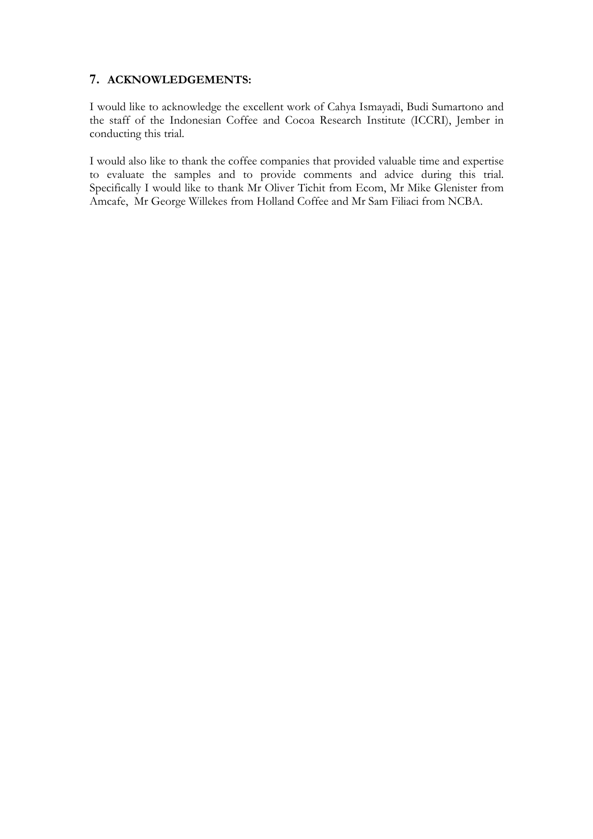## **7. ACKNOWLEDGEMENTS:**

I would like to acknowledge the excellent work of Cahya Ismayadi, Budi Sumartono and the staff of the Indonesian Coffee and Cocoa Research Institute (ICCRI), Jember in conducting this trial.

I would also like to thank the coffee companies that provided valuable time and expertise to evaluate the samples and to provide comments and advice during this trial. Specifically I would like to thank Mr Oliver Tichit from Ecom, Mr Mike Glenister from Amcafe, Mr George Willekes from Holland Coffee and Mr Sam Filiaci from NCBA.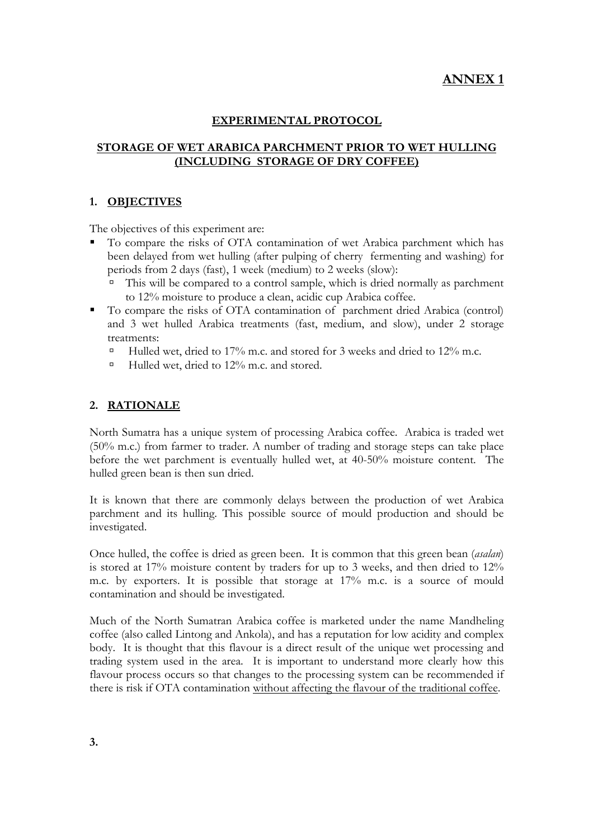# **ANNEX 1**

### **EXPERIMENTAL PROTOCOL**

### **STORAGE OF WET ARABICA PARCHMENT PRIOR TO WET HULLING (INCLUDING STORAGE OF DRY COFFEE)**

#### **1. OBJECTIVES**

The objectives of this experiment are:

- To compare the risks of OTA contamination of wet Arabica parchment which has been delayed from wet hulling (after pulping of cherry fermenting and washing) for periods from 2 days (fast), 1 week (medium) to 2 weeks (slow):
	- This will be compared to a control sample, which is dried normally as parchment to 12% moisture to produce a clean, acidic cup Arabica coffee.
- To compare the risks of OTA contamination of parchment dried Arabica (control) and 3 wet hulled Arabica treatments (fast, medium, and slow), under 2 storage treatments:
	- <sup> $\Box$ </sup> Hulled wet, dried to 17% m.c. and stored for 3 weeks and dried to 12% m.c.
	- $\Box$  Hulled wet, dried to 12% m.c. and stored.

#### **2. RATIONALE**

North Sumatra has a unique system of processing Arabica coffee. Arabica is traded wet (50% m.c.) from farmer to trader. A number of trading and storage steps can take place before the wet parchment is eventually hulled wet, at 40-50% moisture content. The hulled green bean is then sun dried.

It is known that there are commonly delays between the production of wet Arabica parchment and its hulling. This possible source of mould production and should be investigated.

Once hulled, the coffee is dried as green been. It is common that this green bean (*asalan*) is stored at 17% moisture content by traders for up to 3 weeks, and then dried to 12% m.c. by exporters. It is possible that storage at 17% m.c. is a source of mould contamination and should be investigated.

Much of the North Sumatran Arabica coffee is marketed under the name Mandheling coffee (also called Lintong and Ankola), and has a reputation for low acidity and complex body. It is thought that this flavour is a direct result of the unique wet processing and trading system used in the area. It is important to understand more clearly how this flavour process occurs so that changes to the processing system can be recommended if there is risk if OTA contamination without affecting the flavour of the traditional coffee.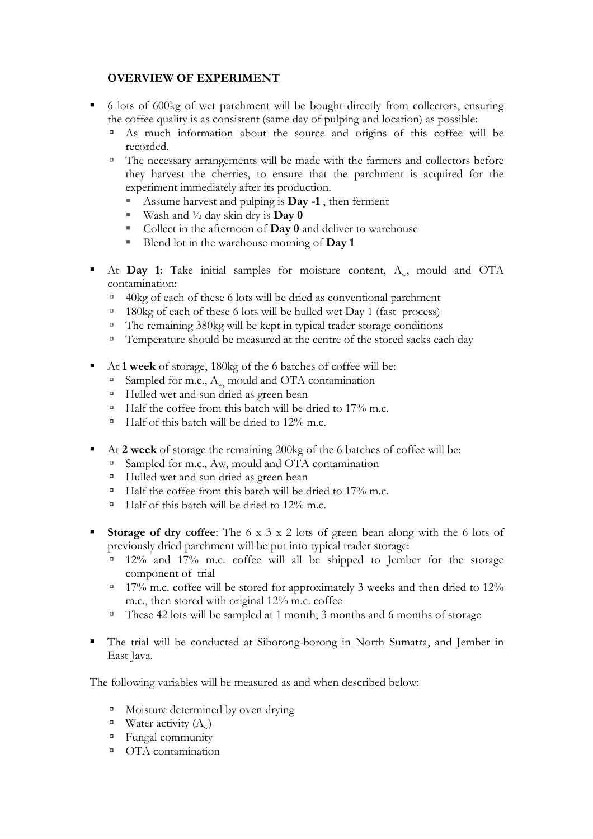## **OVERVIEW OF EXPERIMENT**

- <sup>•</sup> 6 lots of 600kg of wet parchment will be bought directly from collectors, ensuring the coffee quality is as consistent (same day of pulping and location) as possible:
	- <sup>a</sup> As much information about the source and origins of this coffee will be recorded.
	- $\Box$  The necessary arrangements will be made with the farmers and collectors before they harvest the cherries, to ensure that the parchment is acquired for the experiment immediately after its production.
		- Assume harvest and pulping is **Day -1** , then ferment
		- Wash and  $\frac{1}{2}$  day skin dry is **Day 0**
		- Collect in the afternoon of **Day 0** and deliver to warehouse
		- Blend lot in the warehouse morning of **Day 1**
- At Day 1: Take initial samples for moisture content, A<sub>w</sub>, mould and OTA contamination:
	- $\overline{40}$ kg of each of these 6 lots will be dried as conventional parchment
	- <sup> $\Box$ </sup> 180kg of each of these 6 lots will be hulled wet Day 1 (fast process)
	- $\Box$  The remaining 380kg will be kept in typical trader storage conditions
	- $\Box$  Temperature should be measured at the centre of the stored sacks each day
- At **1 week** of storage, 180kg of the 6 batches of coffee will be:
	- <sup>**a</sup> Sampled for m.c., A<sub>w</sub>, mould and OTA contamination**</sup>
	- <sup> $\Box$ </sup> Hulled wet and sun dried as green bean
	- $\Box$  Half the coffee from this batch will be dried to 17% m.c.
	- $\Box$  Half of this batch will be dried to 12% m.c.
- At **2 week** of storage the remaining 200kg of the 6 batches of coffee will be:
	- <sup>a</sup> Sampled for m.c., Aw, mould and OTA contamination
	- <sup> $\Box$ </sup> Hulled wet and sun dried as green bean
	- $\Box$  Half the coffee from this batch will be dried to 17% m.c.
	- $\Box$  Half of this batch will be dried to 12% m.c.
- **Storage of dry coffee**: The 6 x 3 x 2 lots of green bean along with the 6 lots of previously dried parchment will be put into typical trader storage:
	- à 12% and 17% m.c. coffee will all be shipped to Jember for the storage component of trial
	- $\sigma$  17% m.c. coffee will be stored for approximately 3 weeks and then dried to 12% m.c., then stored with original 12% m.c. coffee
	- $\Box$  These 42 lots will be sampled at 1 month, 3 months and 6 months of storage
- The trial will be conducted at Siborong-borong in North Sumatra, and Jember in East Java.

The following variables will be measured as and when described below:

- <sup> $\Box$ </sup> Moisture determined by oven drying
- $\blacksquare$  Water activity  $(A_w)$
- à Fungal community
- à OTA contamination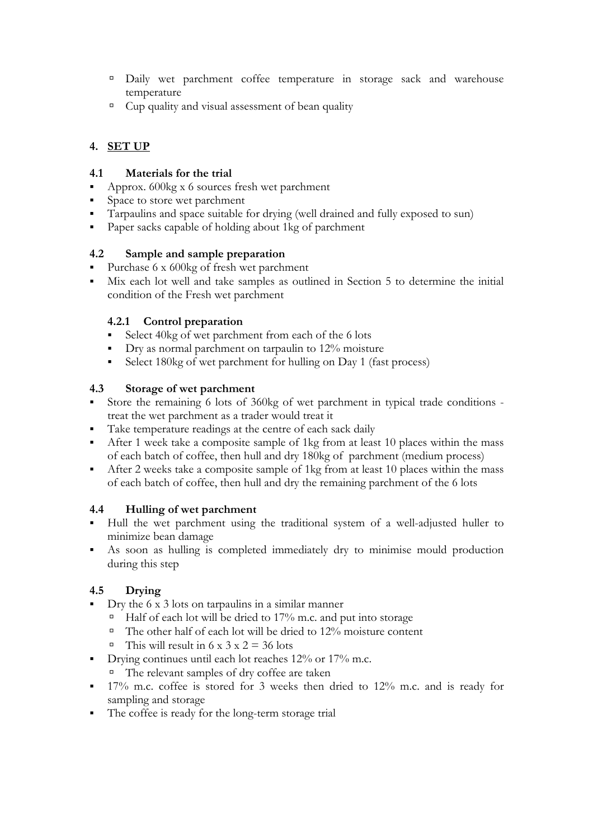- à Daily wet parchment coffee temperature in storage sack and warehouse temperature
- $\Box$  Cup quality and visual assessment of bean quality

## **4. SET UP**

## **4.1 Materials for the trial**

- Approx. 600kg x 6 sources fresh wet parchment
- Space to store wet parchment
- Tarpaulins and space suitable for drying (well drained and fully exposed to sun)
- Paper sacks capable of holding about 1kg of parchment

## **4.2 Sample and sample preparation**

- Purchase  $6 \times 600$ kg of fresh wet parchment
- Mix each lot well and take samples as outlined in Section 5 to determine the initial condition of the Fresh wet parchment

## **4.2.1 Control preparation**

- Select 40kg of wet parchment from each of the 6 lots
- Dry as normal parchment on tarpaulin to 12% moisture
- Select 180kg of wet parchment for hulling on Day 1 (fast process)

## **4.3 Storage of wet parchment**

- Store the remaining 6 lots of 360kg of wet parchment in typical trade conditions treat the wet parchment as a trader would treat it
- Take temperature readings at the centre of each sack daily
- After 1 week take a composite sample of 1kg from at least 10 places within the mass of each batch of coffee, then hull and dry 180kg of parchment (medium process)
- After 2 weeks take a composite sample of 1kg from at least 10 places within the mass of each batch of coffee, then hull and dry the remaining parchment of the 6 lots

## **4.4 Hulling of wet parchment**

- Hull the wet parchment using the traditional system of a well-adjusted huller to minimize bean damage
- As soon as hulling is completed immediately dry to minimise mould production during this step

## **4.5 Drying**

- Dry the 6 x 3 lots on tarpaulins in a similar manner
	- $\overline{P}$  Half of each lot will be dried to 17% m.c. and put into storage
	- $\Box$  The other half of each lot will be dried to 12% moisture content
	- <sup> $\alpha$ </sup> This will result in 6 x 3 x 2 = 36 lots
- Drying continues until each lot reaches 12% or 17% m.c.
	- à The relevant samples of dry coffee are taken
- <sup>17%</sup> m.c. coffee is stored for 3 weeks then dried to 12% m.c. and is ready for sampling and storage
- The coffee is ready for the long-term storage trial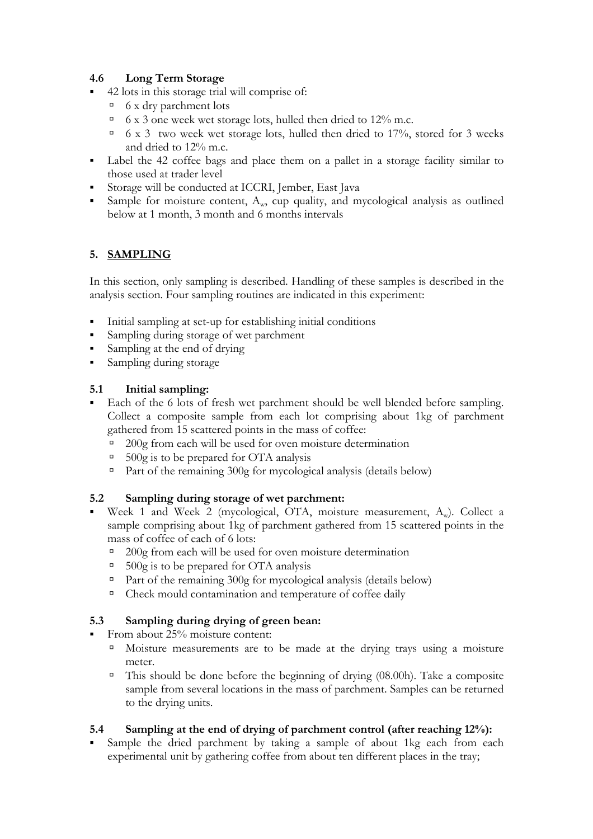## **4.6 Long Term Storage**

- 42 lots in this storage trial will comprise of:
	- $\overline{\phantom{a}}$  6 x dry parchment lots
	- $\sigma$  6 x 3 one week wet storage lots, hulled then dried to 12% m.c.
	- $\sigma$  6 x 3 two week wet storage lots, hulled then dried to 17%, stored for 3 weeks and dried to 12% m.c.
- Label the 42 coffee bags and place them on a pallet in a storage facility similar to those used at trader level
- Storage will be conducted at ICCRI, Jember, East Java
- Sample for moisture content,  $A_w$ , cup quality, and mycological analysis as outlined below at 1 month, 3 month and 6 months intervals

## **5. SAMPLING**

In this section, only sampling is described. Handling of these samples is described in the analysis section. Four sampling routines are indicated in this experiment:

- Initial sampling at set-up for establishing initial conditions
- Sampling during storage of wet parchment
- Sampling at the end of drying
- **Sampling during storage**

## **5.1 Initial sampling:**

- Each of the 6 lots of fresh wet parchment should be well blended before sampling. Collect a composite sample from each lot comprising about 1kg of parchment gathered from 15 scattered points in the mass of coffee:
	- $\degree$  200g from each will be used for oven moisture determination
	- $\overline{500g}$  is to be prepared for OTA analysis
	- $\Box$  Part of the remaining 300g for mycological analysis (details below)

## **5.2 Sampling during storage of wet parchment:**

- Week 1 and Week 2 (mycological, OTA, moisture measurement, A<sub>w</sub>). Collect a sample comprising about 1kg of parchment gathered from 15 scattered points in the mass of coffee of each of 6 lots:
	- $\degree$  200g from each will be used for oven moisture determination
	- $\overline{500g}$  is to be prepared for OTA analysis
	- <sup> $\Box$ </sup> Part of the remaining 300g for mycological analysis (details below)
	- <sup>¤</sup> Check mould contamination and temperature of coffee daily

## **5.3 Sampling during drying of green bean:**

- From about 25% moisture content:
	- à Moisture measurements are to be made at the drying trays using a moisture meter.
	- $\overline{a}$  This should be done before the beginning of drying (08.00h). Take a composite sample from several locations in the mass of parchment. Samples can be returned to the drying units.

## **5.4 Sampling at the end of drying of parchment control (after reaching 12%):**

 Sample the dried parchment by taking a sample of about 1kg each from each experimental unit by gathering coffee from about ten different places in the tray;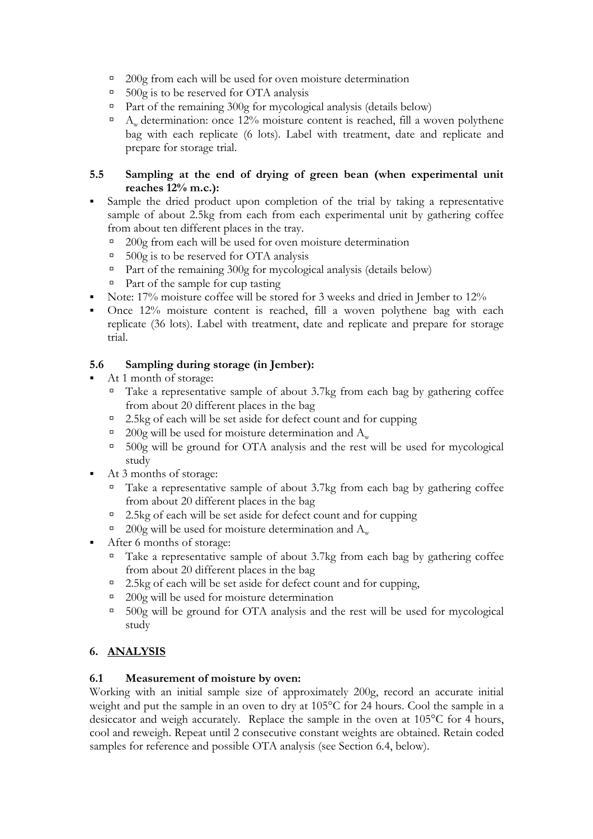- $\degree$  200g from each will be used for oven moisture determination
- $\overline{500g}$  is to be reserved for OTA analysis
- $\Box$  Part of the remaining 300g for mycological analysis (details below)
- $\Delta_{\omega}$  determination: once 12% moisture content is reached, fill a woven polythene bag with each replicate (6 lots). Label with treatment, date and replicate and prepare for storage trial.

## **5.5 Sampling at the end of drying of green bean (when experimental unit reaches 12% m.c.):**

- Sample the dried product upon completion of the trial by taking a representative sample of about 2.5kg from each from each experimental unit by gathering coffee from about ten different places in the tray.
	- $\degree$  200g from each will be used for oven moisture determination
	- $\overline{500g}$  is to be reserved for OTA analysis
	- $\Box$  Part of the remaining 300g for mycological analysis (details below)
	- $\Box$  Part of the sample for cup tasting
- Note: 17% moisture coffee will be stored for 3 weeks and dried in Jember to 12%
- Once 12% moisture content is reached, fill a woven polythene bag with each replicate (36 lots). Label with treatment, date and replicate and prepare for storage trial.

## **5.6 Sampling during storage (in Jember):**

- At 1 month of storage:
	- $\Box$  Take a representative sample of about 3.7kg from each bag by gathering coffee from about 20 different places in the bag
	- à 2.5kg of each will be set aside for defect count and for cupping
	- <sup> $\alpha$ </sup> 200g will be used for moisture determination and A<sub>w</sub>
	- à 500g will be ground for OTA analysis and the rest will be used for mycological study
- At 3 months of storage:
	- $\Box$  Take a representative sample of about 3.7kg from each bag by gathering coffee from about 20 different places in the bag
	- <sup>a</sup> 2.5kg of each will be set aside for defect count and for cupping
	- <sup> $\alpha$ </sup> 200g will be used for moisture determination and  $A_w$
- After 6 months of storage:
	- $\Box$  Take a representative sample of about 3.7kg from each bag by gathering coffee from about 20 different places in the bag
	- $\overline{a}$  2.5kg of each will be set aside for defect count and for cupping,
	- <sup>a</sup> 200g will be used for moisture determination
	- à 500g will be ground for OTA analysis and the rest will be used for mycological study

## **6. ANALYSIS**

#### **6.1 Measurement of moisture by oven:**

Working with an initial sample size of approximately 200g, record an accurate initial weight and put the sample in an oven to dry at 105°C for 24 hours. Cool the sample in a desiccator and weigh accurately. Replace the sample in the oven at 105°C for 4 hours, cool and reweigh. Repeat until 2 consecutive constant weights are obtained. Retain coded samples for reference and possible OTA analysis (see Section 6.4, below).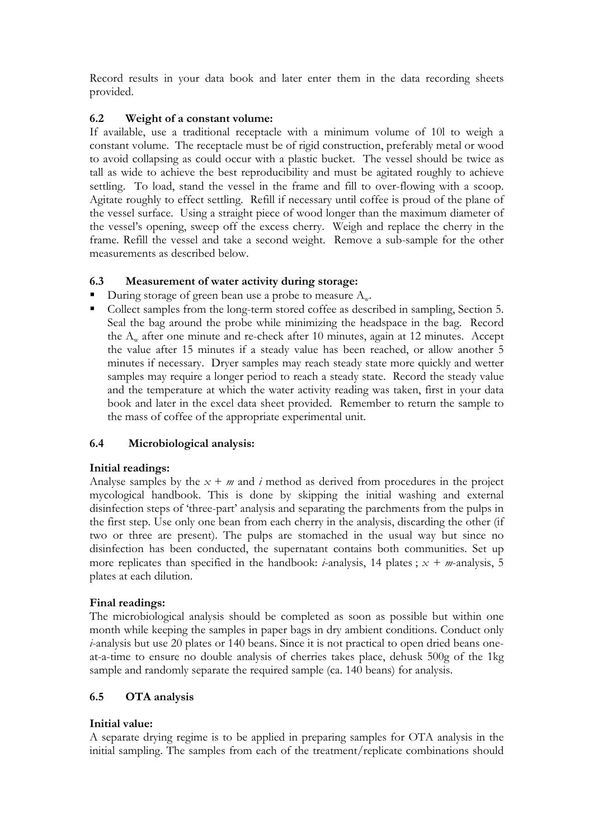Record results in your data book and later enter them in the data recording sheets provided.

## **6.2 Weight of a constant volume:**

If available, use a traditional receptacle with a minimum volume of 10l to weigh a constant volume. The receptacle must be of rigid construction, preferably metal or wood to avoid collapsing as could occur with a plastic bucket. The vessel should be twice as tall as wide to achieve the best reproducibility and must be agitated roughly to achieve settling. To load, stand the vessel in the frame and fill to over-flowing with a scoop. Agitate roughly to effect settling. Refill if necessary until coffee is proud of the plane of the vessel surface. Using a straight piece of wood longer than the maximum diameter of the vessel's opening, sweep off the excess cherry. Weigh and replace the cherry in the frame. Refill the vessel and take a second weight. Remove a sub-sample for the other measurements as described below.

## **6.3 Measurement of water activity during storage:**

- During storage of green bean use a probe to measure  $A_{w}$ .
- Collect samples from the long-term stored coffee as described in sampling, Section 5. Seal the bag around the probe while minimizing the headspace in the bag. Record the  $A_w$  after one minute and re-check after 10 minutes, again at 12 minutes. Accept the value after 15 minutes if a steady value has been reached, or allow another 5 minutes if necessary. Dryer samples may reach steady state more quickly and wetter samples may require a longer period to reach a steady state. Record the steady value and the temperature at which the water activity reading was taken, first in your data book and later in the excel data sheet provided. Remember to return the sample to the mass of coffee of the appropriate experimental unit.

## **6.4 Microbiological analysis:**

#### **Initial readings:**

Analyse samples by the  $x + m$  and *i* method as derived from procedures in the project mycological handbook. This is done by skipping the initial washing and external disinfection steps of 'three-part' analysis and separating the parchments from the pulps in the first step. Use only one bean from each cherry in the analysis, discarding the other (if two or three are present). The pulps are stomached in the usual way but since no disinfection has been conducted, the supernatant contains both communities. Set up more replicates than specified in the handbook: *i*-analysis, 14 plates ; *x + m*-analysis, 5 plates at each dilution.

#### **Final readings:**

The microbiological analysis should be completed as soon as possible but within one month while keeping the samples in paper bags in dry ambient conditions. Conduct only *i*-analysis but use 20 plates or 140 beans. Since it is not practical to open dried beans oneat-a-time to ensure no double analysis of cherries takes place, dehusk 500g of the 1kg sample and randomly separate the required sample (ca. 140 beans) for analysis.

#### **6.5 OTA analysis**

#### **Initial value:**

A separate drying regime is to be applied in preparing samples for OTA analysis in the initial sampling. The samples from each of the treatment/replicate combinations should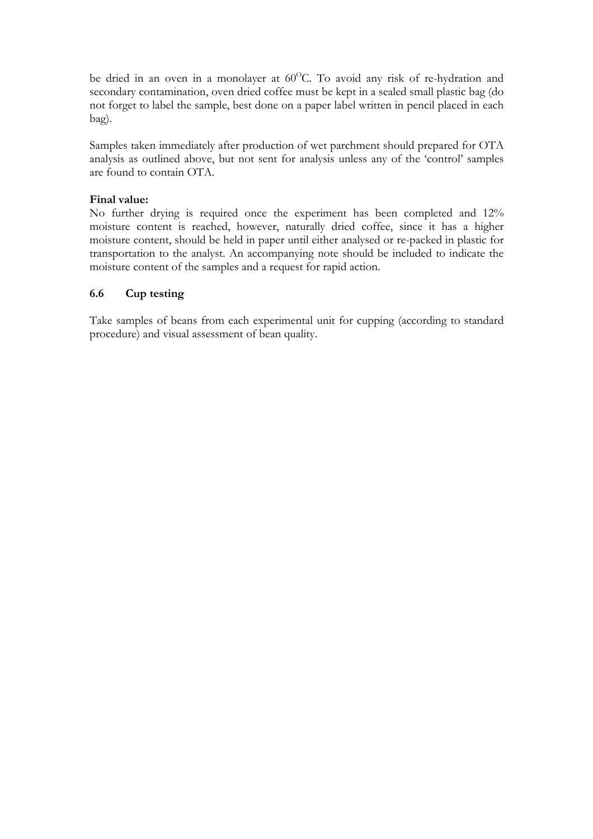be dried in an oven in a monolayer at 60°C. To avoid any risk of re-hydration and secondary contamination, oven dried coffee must be kept in a sealed small plastic bag (do not forget to label the sample, best done on a paper label written in pencil placed in each bag).

Samples taken immediately after production of wet parchment should prepared for OTA analysis as outlined above, but not sent for analysis unless any of the 'control' samples are found to contain OTA.

### **Final value:**

No further drying is required once the experiment has been completed and 12% moisture content is reached, however, naturally dried coffee, since it has a higher moisture content, should be held in paper until either analysed or re-packed in plastic for transportation to the analyst. An accompanying note should be included to indicate the moisture content of the samples and a request for rapid action.

## **6.6 Cup testing**

Take samples of beans from each experimental unit for cupping (according to standard procedure) and visual assessment of bean quality.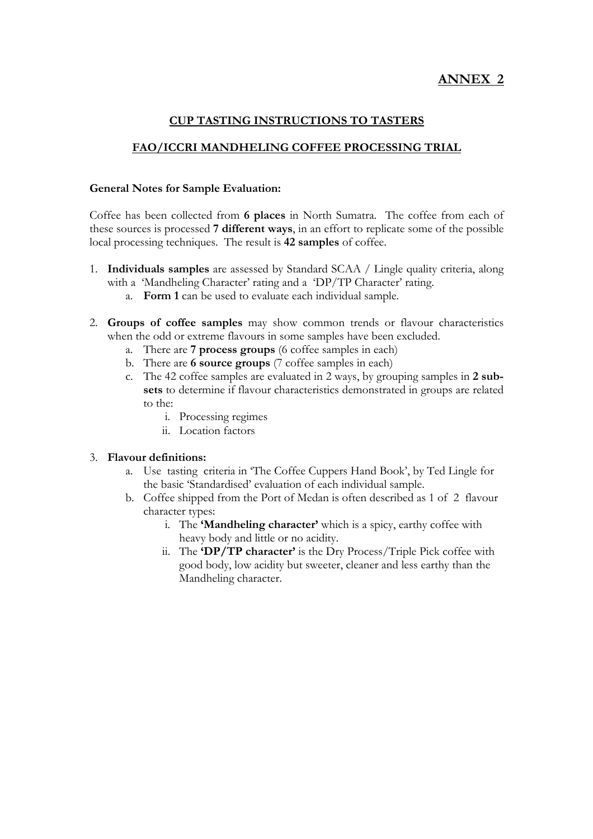# **ANNEX 2**

## **CUP TASTING INSTRUCTIONS TO TASTERS**

### **FAO/ICCRI MANDHELING COFFEE PROCESSING TRIAL**

## **General Notes for Sample Evaluation:**

Coffee has been collected from **6 places** in North Sumatra. The coffee from each of these sources is processed **7 different ways**, in an effort to replicate some of the possible local processing techniques. The result is **42 samples** of coffee.

- 1. **Individuals samples** are assessed by Standard SCAA / Lingle quality criteria, along with a 'Mandheling Character' rating and a 'DP/TP Character' rating.
	- a. **Form 1** can be used to evaluate each individual sample.
- 2. **Groups of coffee samples** may show common trends or flavour characteristics when the odd or extreme flavours in some samples have been excluded.
	- a. There are **7 process groups** (6 coffee samples in each)
	- b. There are **6 source groups** (7 coffee samples in each)
	- c. The 42 coffee samples are evaluated in 2 ways, by grouping samples in **2 subsets** to determine if flavour characteristics demonstrated in groups are related to the:
		- i. Processing regimes
		- ii. Location factors

#### 3. **Flavour definitions:**

- a. Use tasting criteria in 'The Coffee Cuppers Hand Book', by Ted Lingle for the basic 'Standardised' evaluation of each individual sample.
- b. Coffee shipped from the Port of Medan is often described as 1 of 2 flavour character types:
	- i. The **'Mandheling character'** which is a spicy, earthy coffee with heavy body and little or no acidity.
	- ii. The **'DP/TP character'** is the Dry Process/Triple Pick coffee with good body, low acidity but sweeter, cleaner and less earthy than the Mandheling character.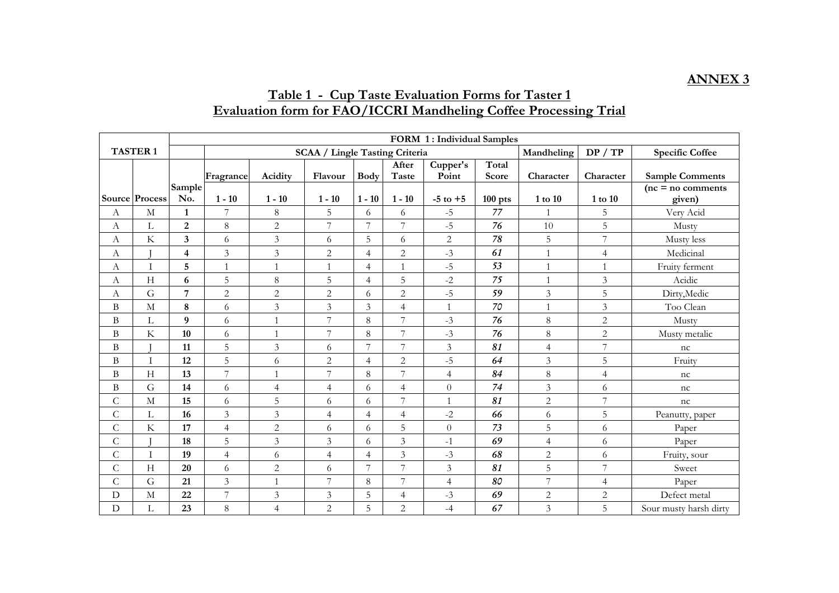#### **ANNEX 3**

## **Table 1 - Cup Taste Evaluation Forms for Taster 1 Evaluation form for FAO/ICCRI Mandheling Coffee Processing Trial**

|                |                         | FORM 1: Individual Samples |                |                             |                                       |                |                       |                   |                |                |                |                               |  |
|----------------|-------------------------|----------------------------|----------------|-----------------------------|---------------------------------------|----------------|-----------------------|-------------------|----------------|----------------|----------------|-------------------------------|--|
|                | <b>TASTER1</b>          |                            |                |                             | <b>SCAA / Lingle Tasting Criteria</b> |                |                       |                   |                | Mandheling     | DP / TP        | <b>Specific Coffee</b>        |  |
|                |                         |                            | Fragrance      | Acidity                     | Flavour                               | <b>Body</b>    | After<br><b>Taste</b> | Cupper's<br>Point | Total<br>Score | Character      | Character      | <b>Sample Comments</b>        |  |
|                | Source Process          | Sample<br>No.              | $1 - 10$       | $1 - 10$                    | $1 - 10$                              | $1 - 10$       | $1 - 10$              | $-5$ to $+5$      | $100$ pts      | 1 to 10        | 1 to 10        | $(nc = no$ comments<br>given) |  |
| А              | M                       | $\mathbf{1}$               | 7              | $\,8\,$                     | 5                                     | 6              | 6                     | $-5$              | 77             |                | 5              | Very Acid                     |  |
| А              | L                       | $\boldsymbol{2}$           | $\,8\,$        | $\sqrt{2}$                  | 7                                     | $\overline{7}$ | 7                     | $-5$              | 76             | 10             | 5              | Musty                         |  |
| А              | $\rm K$                 | $\overline{\mathbf{3}}$    | 6              | $\mathfrak{Z}$              | 6                                     | 5              | 6                     | $\overline{c}$    | 78             | 5              | $\overline{7}$ | Musty less                    |  |
| А              |                         | $\overline{\mathbf{4}}$    | 3              | $\mathfrak{Z}$              | 2                                     | $\overline{4}$ | $\overline{2}$        | $-3$              | 61             | $\mathbf{1}$   | $\overline{4}$ | Medicinal                     |  |
| А              | I                       | 5                          | $\mathbf{1}$   | $\mathbf{1}$                | $\mathbf{1}$                          | $\overline{4}$ | $\mathbf{1}$          | $-5$              | 53             | $\mathbf{1}$   | $\mathbf{1}$   | Fruity ferment                |  |
| А              | H                       | 6                          | 5              | $\,8\,$                     | 5                                     | $\overline{4}$ | 5                     | $-2$              | 75             | $\mathbf{1}$   | $\overline{3}$ | Acidic                        |  |
| А              | G                       | $\overline{7}$             | $\overline{c}$ | $\overline{2}$              | $\overline{2}$                        | 6              | $\overline{c}$        | $-5$              | 59             | $\mathfrak{Z}$ | 5              | Dirty, Medic                  |  |
| Β              | $\mathbf M$             | 8                          | 6              | $\mathfrak{Z}$              | $\mathfrak{Z}$                        | 3              | $\overline{4}$        | $\mathbf{1}$      | $70\,$         | $\mathbf{1}$   | $\mathfrak{Z}$ | Too Clean                     |  |
| B              | $\Gamma$                | $\boldsymbol{9}$           | 6              | $\mathbf{1}$                | $\overline{7}$                        | 8              | $\overline{7}$        | $-3$              | 76             | 8              | $\sqrt{2}$     | Musty                         |  |
| Β              | $\rm K$                 | 10                         | 6              | $\overline{1}$              | 7                                     | 8              | $\overline{7}$        | $-3$              | 76             | $\,8\,$        | $\overline{2}$ | Musty metalic                 |  |
| B              |                         | 11                         | 5              | $\mathfrak{Z}$              | 6                                     | 7              | $\overline{7}$        | 3                 | 81             | $\overline{4}$ | $\overline{7}$ | nc                            |  |
| B              | $\mathbf I$             | 12                         | 5              | 6                           | $\overline{2}$                        | $\overline{4}$ | $\overline{c}$        | $-5$              | 64             | $\mathfrak{Z}$ | 5              | Fruity                        |  |
| B              | H                       | 13                         | 7              | $\overline{1}$              | 7                                     | $8\,$          | $\overline{7}$        | $\overline{4}$    | 84             | $8\,$          | $\overline{4}$ | nc                            |  |
| B              | G                       | 14                         | 6              | $\overline{4}$              | $\overline{4}$                        | 6              | $\overline{4}$        | $\overline{0}$    | 74             | $\mathfrak{Z}$ | 6              | nc                            |  |
| $\mathsf C$    | $\mathbf M$             | 15                         | 6              | $\overline{5}$              | 6                                     | 6              | $\overline{7}$        | $\mathbf{1}$      | 81             | $\mathbf{2}$   | $\overline{7}$ | nc                            |  |
| $\mathsf{C}$   | L                       | 16                         | $\overline{3}$ | $\mathfrak{Z}$              | $\overline{4}$                        | $\overline{4}$ | $\overline{4}$        | $-2$              | 66             | 6              | 5              | Peanutty, paper               |  |
| $\overline{C}$ | $\overline{\mathrm{K}}$ | 17                         | $\overline{4}$ | $\sqrt{2}$                  | 6                                     | 6              | 5                     | $\overline{0}$    | 73             | 5              | 6              | Paper                         |  |
| С              |                         | 18                         | 5              | $\mathfrak{Z}$              | 3                                     | 6              | 3                     | $-1$              | 69             | $\overline{4}$ | 6              | Paper                         |  |
| $\mathsf{C}$   | $\bf I$                 | 19                         | $\overline{4}$ | 6                           | $\overline{4}$                        | $\overline{4}$ | $\mathfrak{Z}$        | $-3$              | 68             | $\mathbf{2}$   | 6              | Fruity, sour                  |  |
| $\mathsf{C}$   | H                       | 20                         | 6              | $\overline{2}$              | 6                                     | $\overline{7}$ | $\overline{7}$        | $\overline{3}$    | 81             | 5              | $\overline{7}$ | Sweet                         |  |
| $\mathsf C$    | G                       | 21                         | 3              | $\mathbf{1}$                | 7                                     | $\,8$          | 7                     | $\overline{4}$    | 80             | $\overline{7}$ | $\overline{4}$ | Paper                         |  |
| $\mathbf D$    | $\mathbf M$             | 22                         | 7              | $\ensuremath{\mathfrak{Z}}$ | $\mathfrak{Z}$                        | $\mathbf 5$    | $\overline{4}$        | $-3$              | 69             | $\mathbf{2}$   | $\overline{c}$ | Defect metal                  |  |
| $\mathbf D$    | $\Gamma$                | 23                         | $\,8\,$        | $\overline{4}$              | $\overline{2}$                        | 5              | $\overline{c}$        | $-4$              | 67             | $\overline{3}$ | 5              | Sour musty harsh dirty        |  |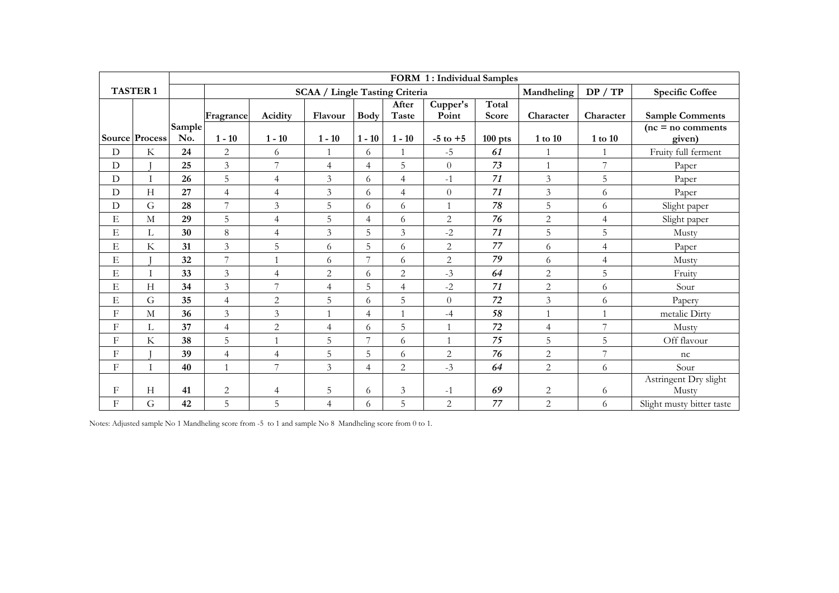|             |                 |               |                                       |                |                |                |                       | FORM 1: Individual Samples |                |                |                        |                                |
|-------------|-----------------|---------------|---------------------------------------|----------------|----------------|----------------|-----------------------|----------------------------|----------------|----------------|------------------------|--------------------------------|
|             | <b>TASTER 1</b> |               | <b>SCAA / Lingle Tasting Criteria</b> |                |                |                |                       |                            | Mandheling     | DP / TP        | <b>Specific Coffee</b> |                                |
|             |                 |               | Fragrance                             | Acidity        | Flavour        | <b>Body</b>    | After<br><b>Taste</b> | Cupper's<br>Point          | Total<br>Score | Character      | Character              | <b>Sample Comments</b>         |
|             | Source Process  | Sample<br>No. | $1 - 10$                              | $1 - 10$       | $1 - 10$       | $1 - 10$       | $1 - 10$              | $-5$ to $+5$               | $100$ pts      | $1$ to $10\,$  | 1 to 10                | $(nc = no$ comments<br>given)  |
| D           | K               | 24            | $\overline{c}$                        | 6              |                | 6              |                       | $-5$                       | 61             |                |                        | Fruity full ferment            |
| D           |                 | 25            | $\mathfrak{Z}$                        | 7              | $\overline{4}$ | $\overline{4}$ | 5                     | $\Omega$                   | 73             | $\mathbf{1}$   | 7                      | Paper                          |
| D           |                 | 26            | 5                                     | $\overline{4}$ | $\overline{3}$ | 6              | 4                     | $-1$                       | 71             | $\mathfrak{Z}$ | 5                      | Paper                          |
| $\mathbf D$ | H               | 27            | $\overline{4}$                        | $\overline{4}$ | $\mathfrak{Z}$ | 6              | 4                     | $\overline{0}$             | 71             | $\mathfrak{Z}$ | 6                      | Paper                          |
| $\mathbf D$ | G               | 28            | $\overline{7}$                        | $\overline{3}$ | 5              | 6              | 6                     | $\mathbf{1}$               | 78             | 5              | 6                      | Slight paper                   |
| $\mathbf E$ | M               | 29            | 5                                     | $\overline{4}$ | 5              | $\overline{4}$ | 6                     | $\overline{2}$             | 76             | $\overline{2}$ | $\overline{4}$         | Slight paper                   |
| E           | $\Gamma$        | 30            | $\,8\,$                               | $\overline{4}$ | $\overline{3}$ | 5              | 3                     | $-2$                       | 71             | 5              | 5                      | Musty                          |
| $\mathbf E$ | $\rm K$         | 31            | $\mathfrak{Z}$                        | 5              | 6              | 5              | 6                     | $\overline{2}$             | 77             | 6              | $\overline{4}$         | Paper                          |
| $\mathbf E$ |                 | 32            | $\overline{7}$                        | $\mathbf{1}$   | 6              | $\overline{7}$ | 6                     | $\sqrt{2}$                 | 79             | 6              | $\overline{4}$         | Musty                          |
| E           | T               | 33            | $\mathfrak{Z}$                        | $\overline{4}$ | $\overline{2}$ | 6              | $\overline{2}$        | $-3$                       | 64             | $\sqrt{2}$     | 5                      | Fruity                         |
| E           | $\mathbf H$     | 34            | $\overline{3}$                        | 7              | $\overline{4}$ | 5              | $\overline{4}$        | $-2$                       | 71             | $\overline{2}$ | 6                      | Sour                           |
| E           | G               | 35            | $\overline{4}$                        | $\overline{2}$ | 5              | 6              | 5                     | $\overline{0}$             | 72             | $\mathfrak{Z}$ | 6                      | Papery                         |
| $_{\rm F}$  | M               | 36            | $\overline{3}$                        | $\overline{3}$ | $\mathbf{1}$   | $\overline{4}$ | $\mathbf{1}$          | $-4$                       | 58             | $\mathbf{1}$   | $\overline{1}$         | metalic Dirty                  |
| F           | L               | 37            | $\overline{4}$                        | 2              | $\overline{4}$ | 6              | 5                     | $\overline{1}$             | 72             | $\overline{4}$ | $\overline{7}$         | Musty                          |
| F           | K               | 38            | 5                                     | $\mathbf{1}$   | 5              | 7              | 6                     | $\mathbf{1}$               | 75             | 5              | 5                      | Off flavour                    |
| F           |                 | 39            | $\overline{4}$                        | $\overline{4}$ | 5              | 5              | 6                     | $\overline{2}$             | 76             | $\overline{2}$ | 7                      | nc                             |
| F           | T               | 40            | $\mathbf{1}$                          | 7              | $\overline{3}$ | $\overline{4}$ | $\overline{2}$        | $-3$                       | 64             | $\mathbf{2}$   | 6                      | Sour                           |
| F           | H               | 41            | $\overline{2}$                        | 4              | 5              | 6              | 3                     | $-1$                       | 69             | $\overline{2}$ | 6                      | Astringent Dry slight<br>Musty |
| F           | G               | 42            | 5                                     | 5              | $\overline{4}$ | 6              | 5                     | $\overline{2}$             | 77             | $\overline{2}$ | 6                      | Slight musty bitter taste      |

Notes: Adjusted sample No 1 Mandheling score from -5 to 1 and sample No 8 Mandheling score from 0 to 1.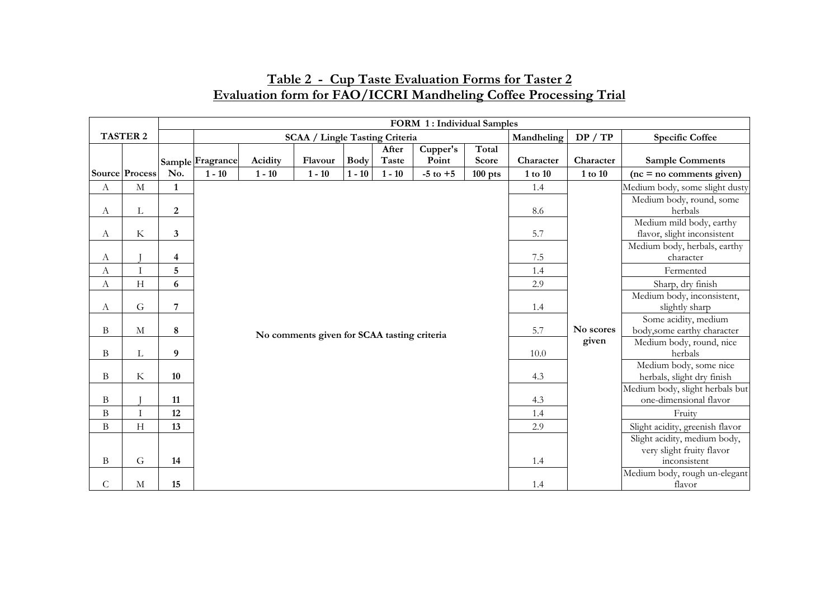|                           |                       | FORM 1: Individual Samples |                  |          |                                             |             |                |                   |                |               |               |                                                           |
|---------------------------|-----------------------|----------------------------|------------------|----------|---------------------------------------------|-------------|----------------|-------------------|----------------|---------------|---------------|-----------------------------------------------------------|
|                           | <b>TASTER 2</b>       |                            |                  |          | <b>SCAA / Lingle Tasting Criteria</b>       |             |                |                   |                | Mandheling    | DP / TP       | <b>Specific Coffee</b>                                    |
|                           |                       |                            | Sample Fragrance | Acidity  | Flavour                                     | <b>Body</b> | After<br>Taste | Cupper's<br>Point | Total<br>Score | Character     | Character     | <b>Sample Comments</b>                                    |
|                           | <b>Source Process</b> | No.                        | $1 - 10$         | $1 - 10$ | $1 - 10$                                    | $1 - 10$    | $1 - 10$       | $-5$ to $+5$      | $100$ pts      | $1$ to $10\,$ | $1$ to $10\,$ | $(nc = no$ comments given)                                |
| A                         | M                     | $\mathbf{1}$               |                  |          |                                             |             |                |                   |                | 1.4           |               | Medium body, some slight dusty                            |
| A                         | L                     | $\boldsymbol{2}$           |                  |          |                                             |             |                |                   |                | 8.6           |               | Medium body, round, some<br>herbals                       |
| А                         | K                     | 3                          |                  |          |                                             |             |                |                   |                | 5.7           |               | Medium mild body, earthy<br>flavor, slight inconsistent   |
| А                         |                       | 4                          |                  |          |                                             |             |                |                   |                | 7.5           |               | Medium body, herbals, earthy<br>character                 |
| $\boldsymbol{\mathrm{A}}$ |                       | 5                          |                  |          |                                             |             |                |                   |                | 1.4           |               | Fermented                                                 |
| А                         | H                     | 6                          |                  |          |                                             |             |                |                   |                | 2.9           |               | Sharp, dry finish                                         |
| A                         | G                     | 7                          |                  |          |                                             |             |                |                   |                | 1.4           |               | Medium body, inconsistent,<br>slightly sharp              |
| Β                         | M                     | 8                          |                  |          | No comments given for SCAA tasting criteria |             |                |                   |                | 5.7           | No scores     | Some acidity, medium<br>body, some earthy character       |
| B                         | L                     | 9                          |                  |          |                                             |             |                |                   |                | 10.0          | given         | Medium body, round, nice<br>herbals                       |
| B                         | K                     | 10                         |                  |          |                                             |             |                |                   |                | 4.3           |               | Medium body, some nice<br>herbals, slight dry finish      |
| Β                         |                       | 11                         |                  |          |                                             |             |                |                   |                | 4.3           |               | Medium body, slight herbals but<br>one-dimensional flavor |
| $\bf{B}$                  |                       | 12                         |                  |          |                                             |             |                |                   |                | 1.4           |               | Fruity                                                    |
| B                         | H                     | 13                         |                  |          |                                             |             |                |                   |                | 2.9           |               | Slight acidity, greenish flavor                           |
|                           |                       |                            |                  |          |                                             |             |                |                   |                |               |               | Slight acidity, medium body,                              |
|                           |                       |                            |                  |          |                                             |             |                |                   |                |               |               | very slight fruity flavor                                 |
| B                         | G                     | 14                         |                  |          |                                             |             |                |                   |                | 1.4           |               | inconsistent                                              |
| C                         | M                     | 15                         |                  |          |                                             |             |                |                   |                | 1.4           |               | Medium body, rough un-elegant<br>flavor                   |

## **Table 2 - Cup Taste Evaluation Forms for Taster 2 Evaluation form for FAO/ICCRI Mandheling Coffee Processing Trial**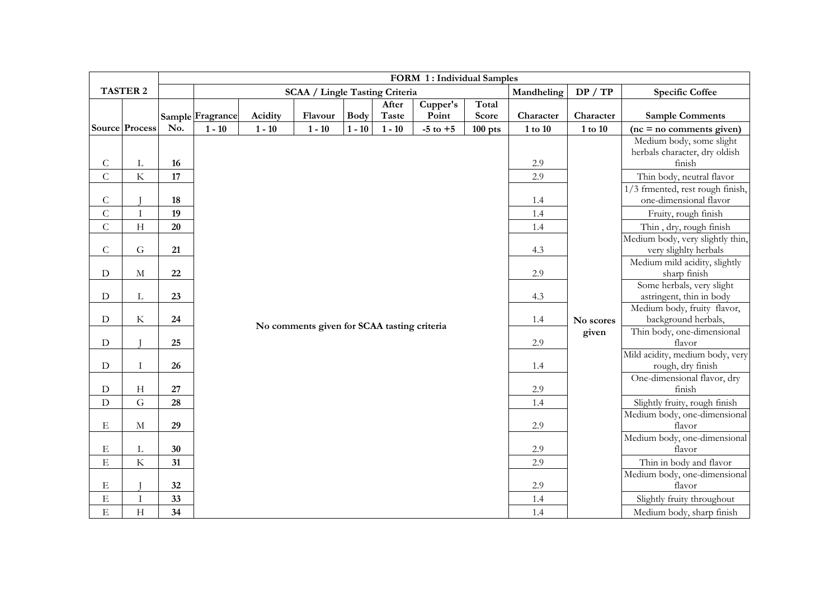|                |                           | FORM 1: Individual Samples |                  |          |                                             |             |          |                   |                |             |               |                                                    |
|----------------|---------------------------|----------------------------|------------------|----------|---------------------------------------------|-------------|----------|-------------------|----------------|-------------|---------------|----------------------------------------------------|
|                | <b>TASTER 2</b>           |                            |                  |          | <b>SCAA / Lingle Tasting Criteria</b>       |             |          |                   |                | Mandheling  | DP / TP       | <b>Specific Coffee</b>                             |
|                |                           |                            |                  |          |                                             |             | After    | Cupper's<br>Point | Total<br>Score | Character   | Character     |                                                    |
|                |                           |                            | Sample Fragrance | Acidity  | Flavour                                     | <b>Body</b> | Taste    |                   |                |             |               | <b>Sample Comments</b>                             |
|                | Source Process            | No.                        | $1 - 10$         | $1 - 10$ | $1 - 10$                                    | $1 - 10$    | $1 - 10$ | $-5$ to $+5$      | $100$ pts      | $1$ to $10$ | $1$ to $10\,$ | $(nc = no$ comments given)                         |
|                |                           |                            |                  |          |                                             |             |          |                   |                |             |               | Medium body, some slight                           |
| $\mathsf C$    | $\Gamma$                  | 16                         |                  |          |                                             |             |          |                   |                | 2.9         |               | herbals character, dry oldish<br>finish            |
| $\overline{C}$ | $\rm K$                   | 17                         |                  |          |                                             |             |          |                   |                | 2.9         |               | Thin body, neutral flavor                          |
|                |                           |                            |                  |          |                                             |             |          |                   |                |             |               | 1/3 frmented, rest rough finish,                   |
| $\mathsf C$    |                           | 18                         |                  |          |                                             |             |          |                   |                | 1.4         |               | one-dimensional flavor                             |
| $\overline{C}$ | $\mathbf I$               | 19                         |                  |          |                                             |             |          |                   |                | 1.4         |               | Fruity, rough finish                               |
| $\overline{C}$ | H                         | 20                         |                  |          |                                             |             |          |                   |                | 1.4         |               | Thin, dry, rough finish                            |
|                |                           |                            |                  |          |                                             |             |          |                   |                |             |               | Medium body, very slightly thin,                   |
| $\mathsf C$    | ${\bf G}$                 | 21                         |                  |          |                                             |             |          |                   |                | 4.3         |               | very slighlty herbals                              |
|                |                           |                            |                  |          |                                             |             |          |                   |                |             |               | Medium mild acidity, slightly                      |
| $\mathbf D$    | $\mathbf M$               | 22                         |                  |          |                                             |             |          |                   |                | 2.9         |               | sharp finish                                       |
|                |                           |                            |                  |          |                                             |             |          |                   |                |             |               | Some herbals, very slight                          |
| ${\rm D}$      | $\mathbf L$               | 23                         |                  |          |                                             |             |          |                   |                | 4.3         |               | astringent, thin in body                           |
| ${\rm D}$      | $\rm K$                   | 24                         |                  |          |                                             |             |          |                   |                | 1.4         | No scores     | Medium body, fruity flavor,<br>background herbals, |
|                |                           |                            |                  |          | No comments given for SCAA tasting criteria |             |          |                   |                |             | given         | Thin body, one-dimensional                         |
| ${\rm D}$      |                           | 25                         |                  |          |                                             |             |          |                   |                | 2.9         |               | flavor                                             |
|                |                           |                            |                  |          |                                             |             |          |                   |                |             |               | Mild acidity, medium body, very                    |
| $\mathbf D$    | Ι                         | 26                         |                  |          |                                             |             |          |                   |                | 1.4         |               | rough, dry finish                                  |
|                |                           |                            |                  |          |                                             |             |          |                   |                |             |               | One-dimensional flavor, dry                        |
| $\mathbf D$    | H                         | 27                         |                  |          |                                             |             |          |                   |                | 2.9         |               | finish                                             |
| ${\rm D}$      | $\overline{G}$            | 28                         |                  |          |                                             |             |          |                   |                | 1.4         |               | Slightly fruity, rough finish                      |
|                |                           |                            |                  |          |                                             |             |          |                   |                |             |               | Medium body, one-dimensional                       |
| E              | $\mathbf M$               | 29                         |                  |          |                                             |             |          |                   |                | $2.9\,$     |               | flavor<br>Medium body, one-dimensional             |
| Е              | L                         | 30                         |                  |          |                                             |             |          |                   |                | 2.9         |               | flavor                                             |
| $\mathbf E$    | $\rm K$                   | 31                         |                  |          |                                             |             |          |                   |                | 2.9         |               | Thin in body and flavor                            |
|                |                           |                            |                  |          |                                             |             |          |                   |                |             |               | Medium body, one-dimensional                       |
| Е              |                           | 32                         |                  |          |                                             |             |          |                   |                | 2.9         |               | flavor                                             |
| $\mathbf E$    | $\rm I$                   | 33                         |                  |          |                                             |             |          |                   |                | 1.4         |               | Slightly fruity throughout                         |
| E              | $\boldsymbol{\mathrm{H}}$ | 34                         |                  |          |                                             |             |          |                   |                | 1.4         |               | Medium body, sharp finish                          |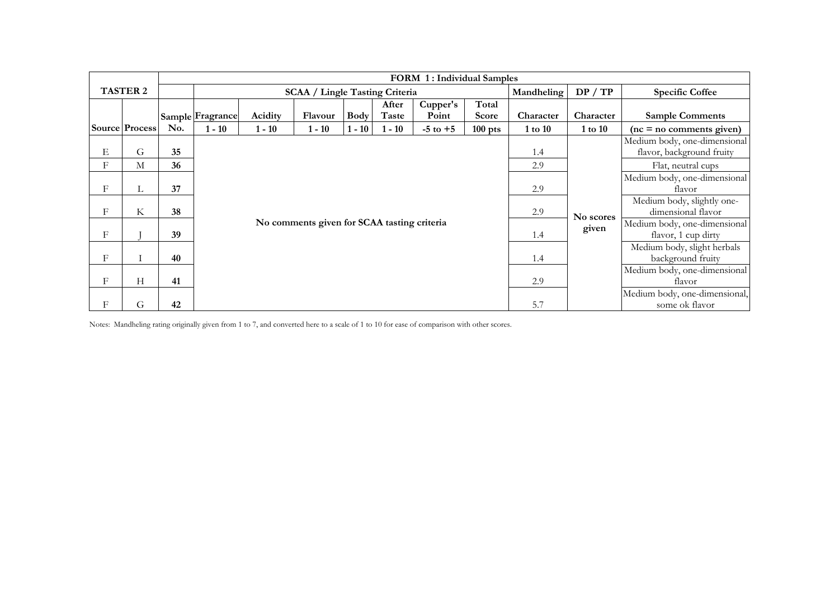|   |                       |     | <b>FORM 1: Individual Samples</b> |          |                                             |             |                |                   |                       |            |           |                                                           |  |
|---|-----------------------|-----|-----------------------------------|----------|---------------------------------------------|-------------|----------------|-------------------|-----------------------|------------|-----------|-----------------------------------------------------------|--|
|   | <b>TASTER 2</b>       |     |                                   |          | <b>SCAA / Lingle Tasting Criteria</b>       |             |                |                   |                       | Mandheling | DP / TP   | <b>Specific Coffee</b>                                    |  |
|   |                       |     | Sample Fragrance                  | Acidity  | Flavour                                     | <b>Body</b> | After<br>Taste | Cupper's<br>Point | Total<br><b>Score</b> | Character  | Character | <b>Sample Comments</b>                                    |  |
|   | <b>Source Process</b> | No. | $1 - 10$                          | $1 - 10$ | $1 - 10$                                    | $1 - 10$    | $1 - 10$       | $-5$ to $+5$      | $100$ pts             | 1 to 10    | 1 to 10   | $(nc = no$ comments given)                                |  |
| Е | G                     | 35  |                                   |          |                                             |             |                |                   |                       | 1.4        |           | Medium body, one-dimensional<br>flavor, background fruity |  |
| F | M                     | 36  |                                   |          |                                             |             |                |                   |                       | 2.9        |           | Flat, neutral cups                                        |  |
| F | L.                    | 37  |                                   |          |                                             |             |                |                   |                       | 2.9        |           | Medium body, one-dimensional<br>flavor                    |  |
| F | K                     | 38  |                                   |          |                                             |             |                |                   |                       | 2.9        | No scores | Medium body, slightly one-<br>dimensional flavor          |  |
| F |                       | 39  |                                   |          | No comments given for SCAA tasting criteria |             |                |                   |                       | 1.4        | given     | Medium body, one-dimensional<br>flavor, 1 cup dirty       |  |
| F |                       | 40  |                                   |          |                                             |             |                |                   |                       | 1.4        |           | Medium body, slight herbals<br>background fruity          |  |
| F | Н                     | 41  |                                   |          |                                             |             |                |                   |                       | 2.9        |           | Medium body, one-dimensional<br>flavor                    |  |
| F | G                     | 42  |                                   |          |                                             |             |                |                   |                       | 5.7        |           | Medium body, one-dimensional,<br>some ok flavor           |  |

Notes: Mandheling rating originally given from 1 to 7, and converted here to a scale of 1 to 10 for ease of comparison with other scores.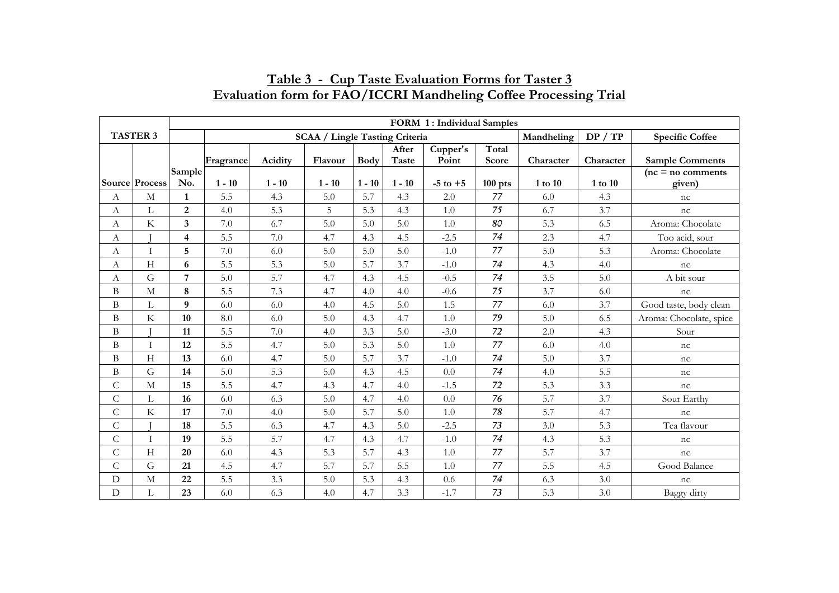|                  |                         | FORM 1: Individual Samples |           |          |                                       |             |                |                   |                |            |           |                               |
|------------------|-------------------------|----------------------------|-----------|----------|---------------------------------------|-------------|----------------|-------------------|----------------|------------|-----------|-------------------------------|
|                  | <b>TASTER 3</b>         |                            |           |          | <b>SCAA / Lingle Tasting Criteria</b> |             |                |                   |                | Mandheling | DP / TP   | <b>Specific Coffee</b>        |
|                  |                         |                            | Fragrance | Acidity  | Flavour                               | <b>Body</b> | After<br>Taste | Cupper's<br>Point | Total<br>Score | Character  | Character | <b>Sample Comments</b>        |
|                  | Source Process          | Sample<br>No.              | $1 - 10$  | $1 - 10$ | $1 - 10$                              | $1 - 10$    | $1 - 10$       | $-5$ to $+5$      | $100$ pts      | 1 to 10    | 1 to 10   | $(nc = no$ comments<br>given) |
| $\boldsymbol{A}$ | $\mathbf M$             | $\mathbf{1}$               | 5.5       | 4.3      | 5.0                                   | 5.7         | 4.3            | 2.0               | 77             | 6.0        | 4.3       | nc                            |
| А                | L                       | $\boldsymbol{2}$           | 4.0       | 5.3      | 5                                     | 5.3         | 4.3            | $1.0\,$           | 75             | 6.7        | 3.7       | nc                            |
| A                | K                       | 3                          | $7.0\,$   | 6.7      | 5.0                                   | 5.0         | 5.0            | 1.0               | 80             | 5.3        | 6.5       | Aroma: Chocolate              |
| A                |                         | $\overline{\mathbf{4}}$    | 5.5       | 7.0      | 4.7                                   | 4.3         | 4.5            | $-2.5$            | 74             | 2.3        | 4.7       | Too acid, sour                |
| A                |                         | 5                          | $7.0\,$   | 6.0      | 5.0                                   | 5.0         | 5.0            | $-1.0$            | 77             | 5.0        | 5.3       | Aroma: Chocolate              |
| A                | H                       | 6                          | 5.5       | 5.3      | 5.0                                   | 5.7         | 3.7            | $-1.0$            | 74             | 4.3        | 4.0       | nc                            |
| A                | G                       | $\overline{7}$             | 5.0       | 5.7      | 4.7                                   | 4.3         | 4.5            | $-0.5$            | 74             | 3.5        | 5.0       | A bit sour                    |
| $\, {\bf B}$     | $\mathbf M$             | 8                          | 5.5       | 7.3      | 4.7                                   | 4.0         | 4.0            | $-0.6$            | 75             | 3.7        | 6.0       | nc                            |
| $\, {\bf B}$     | $\mathbf L$             | 9                          | 6.0       | 6.0      | 4.0                                   | 4.5         | 5.0            | 1.5               | 77             | 6.0        | 3.7       | Good taste, body clean        |
| B                | $\rm K$                 | 10                         | 8.0       | 6.0      | 5.0                                   | 4.3         | 4.7            | 1.0               | 79             | 5.0        | 6.5       | Aroma: Chocolate, spice       |
| $\, {\bf B}$     |                         | 11                         | 5.5       | 7.0      | 4.0                                   | 3.3         | 5.0            | $-3.0$            | 72             | 2.0        | 4.3       | Sour                          |
| B                | $\mathbf{I}$            | 12                         | 5.5       | 4.7      | 5.0                                   | 5.3         | 5.0            | 1.0               | 77             | 6.0        | 4.0       | nc                            |
| B                | H                       | 13                         | 6.0       | 4.7      | 5.0                                   | 5.7         | 3.7            | $-1.0$            | 74             | 5.0        | 3.7       | nc                            |
| $\, {\bf B}$     | G                       | 14                         | $5.0\,$   | 5.3      | 5.0                                   | 4.3         | 4.5            | 0.0               | 74             | 4.0        | 5.5       | nc                            |
| $\mathsf{C}$     | $\mathbf M$             | 15                         | 5.5       | 4.7      | 4.3                                   | 4.7         | 4.0            | $-1.5$            | 72             | 5.3        | 3.3       | nc                            |
| C                | L                       | 16                         | 6.0       | 6.3      | 5.0                                   | 4.7         | 4.0            | 0.0               | 76             | 5.7        | 3.7       | Sour Earthy                   |
| $\overline{C}$   | $\overline{\mathrm{K}}$ | 17                         | $7.0\,$   | 4.0      | 5.0                                   | 5.7         | 5.0            | 1.0               | 78             | 5.7        | 4.7       | nc                            |
| $\mathsf{C}$     |                         | 18                         | 5.5       | 6.3      | 4.7                                   | 4.3         | 5.0            | $-2.5$            | 73             | 3.0        | 5.3       | Tea flavour                   |
| $\mathsf{C}$     |                         | 19                         | 5.5       | 5.7      | 4.7                                   | 4.3         | 4.7            | $-1.0$            | 74             | 4.3        | 5.3       | nc                            |
| $\mathcal{C}$    | H                       | 20                         | 6.0       | 4.3      | 5.3                                   | 5.7         | 4.3            | 1.0               | 77             | 5.7        | 3.7       | nc                            |
| $\mathsf{C}$     | G                       | 21                         | 4.5       | 4.7      | 5.7                                   | 5.7         | 5.5            | 1.0               | 77             | 5.5        | 4.5       | Good Balance                  |
| $\mathbf D$      | $\mathbf M$             | 22                         | 5.5       | 3.3      | 5.0                                   | 5.3         | 4.3            | $0.6\,$           | 74             | 6.3        | 3.0       | nc                            |
| $\mathbf D$      | Г                       | 23                         | 6.0       | 6.3      | 4.0                                   | 4.7         | 3.3            | $-1.7$            | 73             | 5.3        | 3.0       | Baggy dirty                   |

# **Table 3 - Cup Taste Evaluation Forms for Taster 3 Evaluation form for FAO/ICCRI Mandheling Coffee Processing Trial**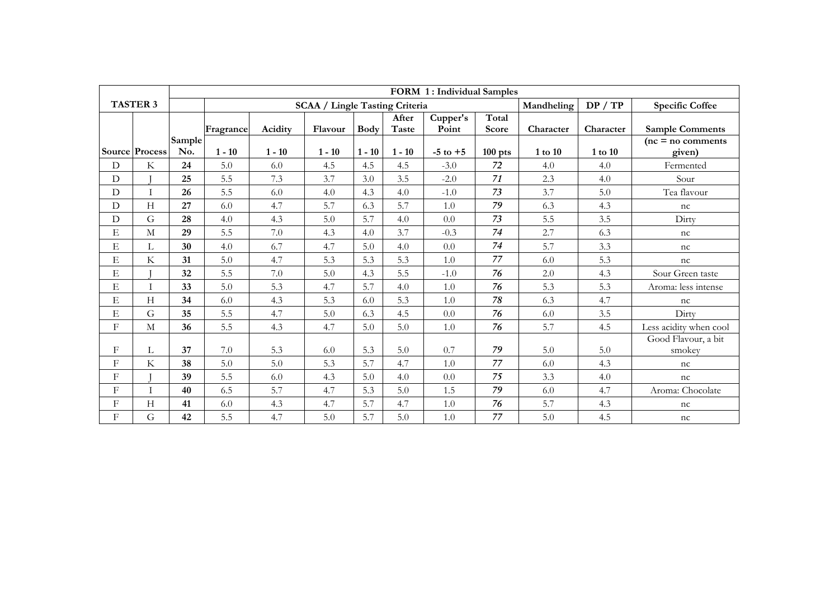|            |                           |        |           |          |                                       |             |                | FORM 1: Individual Samples |                       |            |           |                               |
|------------|---------------------------|--------|-----------|----------|---------------------------------------|-------------|----------------|----------------------------|-----------------------|------------|-----------|-------------------------------|
|            | <b>TASTER 3</b>           |        |           |          | <b>SCAA / Lingle Tasting Criteria</b> |             |                |                            |                       | Mandheling | DP / TP   | <b>Specific Coffee</b>        |
|            |                           | Sample | Fragrance | Acidity  | Flavour                               | <b>Body</b> | After<br>Taste | Cupper's<br>Point          | Total<br><b>Score</b> | Character  | Character | <b>Sample Comments</b>        |
|            | Source Process            | No.    | $1 - 10$  | $1 - 10$ | $1 - 10$                              | $1 - 10$    | $1 - 10$       | $-5$ to $+5$               | $100$ pts             | 1 to 10    | 1 to 10   | $(nc = no$ comments<br>given) |
| D          | $\rm K$                   | 24     | 5.0       | 6.0      | 4.5                                   | 4.5         | 4.5            | $-3.0$                     | 72                    | 4.0        | 4.0       | Fermented                     |
| D          |                           | 25     | 5.5       | 7.3      | 3.7                                   | 3.0         | 3.5            | $-2.0$                     | 71                    | 2.3        | 4.0       | Sour                          |
| D          |                           | 26     | 5.5       | 6.0      | 4.0                                   | 4.3         | 4.0            | $-1.0$                     | 73                    | 3.7        | 5.0       | Tea flavour                   |
| D          | H                         | 27     | 6.0       | 4.7      | 5.7                                   | 6.3         | 5.7            | 1.0                        | 79                    | 6.3        | 4.3       | nc                            |
| D          | G                         | 28     | 4.0       | 4.3      | 5.0                                   | 5.7         | 4.0            | 0.0                        | 73                    | 5.5        | 3.5       | Dirty                         |
| Ε          | M                         | 29     | 5.5       | 7.0      | 4.3                                   | 4.0         | 3.7            | $-0.3$                     | 74                    | 2.7        | 6.3       | nc                            |
| E          | L                         | 30     | 4.0       | 6.7      | 4.7                                   | 5.0         | 4.0            | 0.0                        | 74                    | 5.7        | 3.3       | nc                            |
| E          | $\rm K$                   | 31     | 5.0       | 4.7      | 5.3                                   | 5.3         | 5.3            | 1.0                        | 77                    | 6.0        | 5.3       | nc                            |
| E          |                           | 32     | 5.5       | $7.0\,$  | 5.0                                   | 4.3         | 5.5            | $-1.0$                     | 76                    | 2.0        | 4.3       | Sour Green taste              |
| E          | T                         | 33     | 5.0       | 5.3      | 4.7                                   | 5.7         | 4.0            | 1.0                        | 76                    | 5.3        | 5.3       | Aroma: less intense           |
| E          | H                         | 34     | 6.0       | 4.3      | 5.3                                   | 6.0         | 5.3            | 1.0                        | 78                    | 6.3        | 4.7       | nc                            |
| Ε          | G                         | 35     | 5.5       | 4.7      | 5.0                                   | 6.3         | 4.5            | 0.0                        | 76                    | 6.0        | 3.5       | Dirty                         |
| $_{\rm F}$ | M                         | 36     | 5.5       | 4.3      | 4.7                                   | 5.0         | 5.0            | 1.0                        | 76                    | 5.7        | 4.5       | Less acidity when cool        |
| $_{\rm F}$ | L                         | 37     | 7.0       | 5.3      | 6.0                                   | 5.3         | 5.0            | 0.7                        | 79                    | 5.0        | 5.0       | Good Flavour, a bit<br>smokey |
| F          | $\rm K$                   | 38     | 5.0       | 5.0      | 5.3                                   | 5.7         | 4.7            | 1.0                        | 77                    | 6.0        | 4.3       | nc                            |
| F          |                           | 39     | 5.5       | 6.0      | 4.3                                   | 5.0         | 4.0            | 0.0                        | 75                    | 3.3        | 4.0       | nc                            |
| F          | T                         | 40     | 6.5       | 5.7      | 4.7                                   | 5.3         | 5.0            | 1.5                        | 79                    | 6.0        | 4.7       | Aroma: Chocolate              |
| F          | $\boldsymbol{\mathrm{H}}$ | 41     | 6.0       | 4.3      | 4.7                                   | 5.7         | 4.7            | 1.0                        | 76                    | 5.7        | 4.3       | nc                            |
| F          | G                         | 42     | 5.5       | 4.7      | 5.0                                   | 5.7         | 5.0            | 1.0                        | 77                    | 5.0        | 4.5       | nc                            |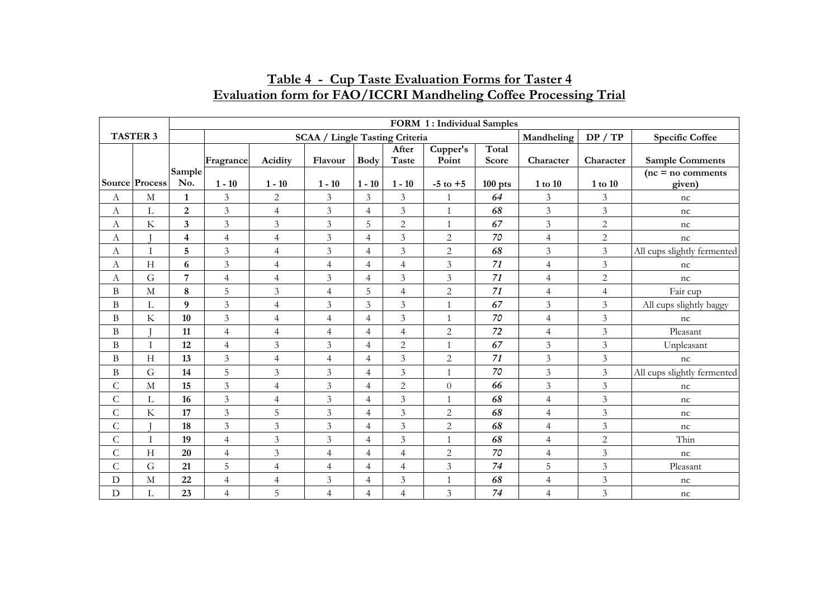|                |                       |                         |                |                |                                       |                |                                 | FORM 1: Individual Samples |                |                |                |                                |
|----------------|-----------------------|-------------------------|----------------|----------------|---------------------------------------|----------------|---------------------------------|----------------------------|----------------|----------------|----------------|--------------------------------|
|                | <b>TASTER 3</b>       |                         |                |                | <b>SCAA / Lingle Tasting Criteria</b> |                |                                 |                            |                | Mandheling     | DP / TP        | <b>Specific Coffee</b>         |
|                |                       |                         | Fragrance      | Acidity        | Flavour                               | <b>Body</b>    | After<br>$\operatorname{Taste}$ | Cupper's<br>Point          | Total<br>Score | Character      | Character      | <b>Sample Comments</b>         |
|                | <b>Source Process</b> | Sample<br>No.           | $1 - 10$       | $1 - 10$       | $1 - 10$                              | $1 - 10$       | $1 - 10$                        | $-5$ to $+5$               | $100$ pts      | 1 to 10        | $1$ to $10$    | $(nc = no comments)$<br>given) |
| А              | M                     | $\mathbf{1}$            | 3              | 2              | 3                                     | $\overline{3}$ | $\mathfrak{Z}$                  | $\mathbf{1}$               | 64             | $\mathfrak{Z}$ | $\mathfrak{Z}$ | nc                             |
| A              | L                     | $\overline{2}$          | $\mathfrak{Z}$ | $\overline{4}$ | $\mathfrak{Z}$                        | $\overline{4}$ | $\mathfrak{Z}$                  | $\overline{1}$             | 68             | $\mathfrak{Z}$ | $\mathfrak{Z}$ | nc                             |
| A              | $\rm K$               | $\overline{\mathbf{3}}$ | $\mathfrak{Z}$ | $\mathfrak{Z}$ | $\mathfrak{Z}$                        | 5              | $\overline{2}$                  | $\mathbf{1}$               | 67             | $\mathfrak{Z}$ | $\sqrt{2}$     | nc                             |
| A              |                       | $\overline{\mathbf{4}}$ | $\overline{4}$ | $\overline{4}$ | $\mathfrak{Z}$                        | $\overline{4}$ | $\overline{3}$                  | $\overline{2}$             | $70\,$         | $\overline{4}$ | $\overline{2}$ | nc                             |
| $\mathbf{A}$   | T                     | 5                       | $\mathfrak{Z}$ | $\overline{4}$ | 3                                     | $\overline{4}$ | 3                               | 2                          | 68             | $\mathfrak{Z}$ | $\overline{3}$ | All cups slightly fermented    |
| A              | H                     | 6                       | $\mathfrak{Z}$ | $\overline{4}$ | $\overline{4}$                        | $\overline{4}$ | $\overline{4}$                  | 3                          | 71             | $\overline{4}$ | $\overline{3}$ | nc                             |
| A              | G                     | $\overline{7}$          | $\overline{4}$ | $\overline{4}$ | $\mathfrak{Z}$                        | $\overline{4}$ | $\mathfrak{Z}$                  | $\mathfrak{Z}$             | 71             | $\overline{4}$ | $\overline{c}$ | nc                             |
| B              | $\mathbf M$           | 8                       | 5              | 3              | $\overline{4}$                        | 5              | $\overline{4}$                  | $\overline{2}$             | 71             | $\overline{4}$ | $\overline{4}$ | Fair cup                       |
| B              | L                     | 9                       | $\mathfrak{Z}$ | $\overline{4}$ | $\mathfrak{Z}$                        | 3              | 3                               | $\overline{1}$             | 67             | 3              | $\mathfrak{Z}$ | All cups slightly baggy        |
| B              | $\rm K$               | 10                      | $\mathfrak{Z}$ | $\overline{4}$ | $\overline{4}$                        | $\overline{4}$ | $\overline{3}$                  | $\overline{1}$             | $70\,$         | $\overline{4}$ | $\overline{3}$ | nc                             |
| B              |                       | 11                      | $\overline{4}$ | $\overline{4}$ | $\overline{4}$                        | $\overline{4}$ | $\overline{4}$                  | 2                          | 72             | $\overline{4}$ | $\overline{3}$ | Pleasant                       |
| B              | T                     | 12                      | $\overline{4}$ | 3              | $\overline{3}$                        | $\overline{4}$ | $\overline{c}$                  | $\overline{1}$             | 67             | $\mathfrak{Z}$ | 3              | Unpleasant                     |
| $\, {\bf B}$   | H                     | 13                      | $\mathfrak{Z}$ | $\overline{4}$ | $\overline{4}$                        | $\overline{4}$ | $\overline{3}$                  | $\overline{2}$             | 71             | $\overline{3}$ | $\mathfrak{Z}$ | nc                             |
| B              | G                     | 14                      | 5              | $\mathfrak{Z}$ | $\mathfrak{Z}$                        | $\overline{4}$ | $\overline{3}$                  | $\mathbf{1}$               | $70\,$         | $\mathfrak{Z}$ | $\mathfrak{Z}$ | All cups slightly fermented    |
| $\overline{C}$ | $\mathbf{M}$          | 15                      | $\mathfrak{Z}$ | $\overline{4}$ | $\mathfrak{Z}$                        | $\overline{4}$ | $\overline{c}$                  | $\theta$                   | 66             | 3              | $\mathfrak{Z}$ | nc                             |
| ${\bf C}$      | L                     | 16                      | $\mathfrak{Z}$ | $\overline{4}$ | $\mathfrak{Z}$                        | $\overline{4}$ | 3                               | $\mathbf{1}$               | 68             | $\overline{4}$ | $\mathfrak{Z}$ | nc                             |
| $\mathsf C$    | $\rm K$               | 17                      | $\mathfrak{Z}$ | 5              | $\mathfrak{Z}$                        | $\overline{4}$ | $\overline{3}$                  | $\overline{2}$             | 68             | $\overline{4}$ | $\overline{3}$ | nc                             |
| $\mathsf{C}$   |                       | 18                      | $\mathfrak{Z}$ | $\mathfrak{Z}$ | 3                                     | $\overline{4}$ | 3                               | $\overline{2}$             | 68             | $\overline{4}$ | $\mathfrak{Z}$ | nc                             |
| $\mathsf{C}$   | T                     | 19                      | $\overline{4}$ | $\mathfrak{Z}$ | $\mathfrak{Z}$                        | $\overline{4}$ | 3                               | $\mathbf{1}$               | 68             | $\overline{4}$ | $\overline{2}$ | Thin                           |
| $\mathsf{C}$   | H                     | 20                      | $\overline{4}$ | $\mathfrak{Z}$ | $\overline{4}$                        | $\overline{4}$ | $\overline{4}$                  | $\overline{2}$             | $70\,$         | $\overline{4}$ | $\overline{3}$ | nc                             |
| $\mathsf{C}$   | G                     | 21                      | 5              | $\overline{4}$ | $\overline{4}$                        | $\overline{4}$ | $\overline{4}$                  | $\mathfrak{Z}$             | 74             | 5              | $\mathfrak{Z}$ | Pleasant                       |
| $\mathbf D$    | $\mathbf{M}$          | 22                      | $\overline{4}$ | $\overline{4}$ | $\mathfrak{Z}$                        | $\overline{4}$ | $\mathfrak{Z}$                  | $\mathbf{1}$               | 68             | $\overline{4}$ | $\sqrt{3}$     | $\ensuremath{\mathsf{nc}}$     |
| $\mathbf D$    | L                     | 23                      | 4              | 5              | $\overline{4}$                        | $\overline{4}$ | $\overline{\mathcal{L}}$        | 3                          | 74             | $\overline{4}$ | $\mathfrak{Z}$ | nc                             |

# **Table 4 - Cup Taste Evaluation Forms for Taster 4 Evaluation form for FAO/ICCRI Mandheling Coffee Processing Trial**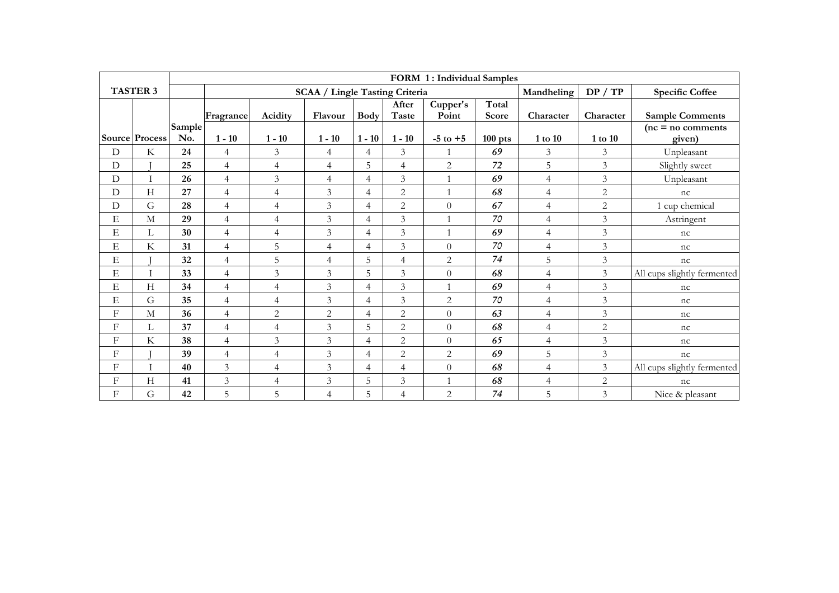|                           |                 |        |                |                |                                       |                |                       | FORM 1: Individual Samples |                |                |                          |                                               |
|---------------------------|-----------------|--------|----------------|----------------|---------------------------------------|----------------|-----------------------|----------------------------|----------------|----------------|--------------------------|-----------------------------------------------|
|                           | <b>TASTER 3</b> |        |                |                | <b>SCAA / Lingle Tasting Criteria</b> |                |                       |                            |                | Mandheling     | DP / TP                  | <b>Specific Coffee</b>                        |
|                           |                 | Sample | Fragrance      | Acidity        | Flavour                               | <b>Body</b>    | After<br><b>Taste</b> | Cupper's<br>Point          | Total<br>Score | Character      | Character                | <b>Sample Comments</b><br>$(nc = no$ comments |
|                           | Source Process  | No.    | $1 - 10$       | $1 - 10$       | $1 - 10$                              | $1 - 10$       | $1 - 10$              | $-5$ to $+5$               | $100$ pts      | $1$ to $10$    | $1$ to $10\,$            | given)                                        |
| $\mathbf D$               | $\rm K$         | 24     | $\overline{4}$ | $\mathfrak{Z}$ | $\overline{4}$                        | $\overline{4}$ | $\mathfrak{Z}$        |                            | 69             | 3              | 3                        | Unpleasant                                    |
| ${\rm D}$                 |                 | 25     | $\overline{4}$ | $\overline{4}$ | $\overline{4}$                        | 5              | $\overline{4}$        | $\mathbf{2}$               | 72             | 5              | $\overline{3}$           | Slightly sweet                                |
| ${\rm D}$                 | $\mathbf{I}$    | 26     | $\overline{4}$ | $\mathfrak{Z}$ | $\overline{4}$                        | $\overline{4}$ | $\mathfrak{Z}$        |                            | 69             | $\overline{4}$ | 3                        | Unpleasant                                    |
| $\mathbf D$               | H               | 27     | $\overline{4}$ | $\overline{4}$ | 3                                     | $\overline{4}$ | $\overline{2}$        | $\overline{1}$             | 68             | $\overline{4}$ | $\overline{2}$           | nc                                            |
| $\mathbf D$               | G               | 28     | $\overline{4}$ | $\overline{4}$ | 3                                     | $\overline{4}$ | $\overline{2}$        | $\Omega$                   | 67             | $\overline{4}$ | $\overline{2}$           | 1 cup chemical                                |
| Е                         | $\mathbf M$     | 29     | $\overline{4}$ | $\overline{4}$ | $\mathfrak{Z}$                        | $\overline{4}$ | $\overline{3}$        | $\mathbf{1}$               | 70             | $\overline{4}$ | 3                        | Astringent                                    |
| E                         | Г               | 30     | $\overline{4}$ | $\overline{4}$ | $\overline{3}$                        | $\overline{4}$ | 3                     |                            | 69             | $\overline{4}$ | 3                        | nc                                            |
| E                         | $\rm K$         | 31     | $\overline{4}$ | 5              | $\overline{4}$                        | $\overline{4}$ | 3                     | $\Omega$                   | 70             | $\overline{4}$ | 3                        | nc                                            |
| E                         |                 | 32     | $\overline{4}$ | 5              | $\overline{4}$                        | 5              | $\overline{4}$        | $\overline{c}$             | 74             | 5              | $\overline{3}$           | nc                                            |
| Е                         |                 | 33     | $\overline{4}$ | $\mathfrak{Z}$ | 3                                     | 5              | $\mathfrak{Z}$        | $\Omega$                   | 68             | $\overline{4}$ | $\overline{3}$           | All cups slightly fermented                   |
| Е                         | Н               | 34     | $\overline{4}$ | $\overline{4}$ | $\mathfrak{Z}$                        | $\overline{4}$ | 3                     |                            | 69             | $\overline{4}$ | 3                        | nc                                            |
| E                         | G               | 35     | $\overline{4}$ | $\overline{4}$ | $\overline{3}$                        | $\overline{4}$ | $\overline{3}$        | $\overline{2}$             | 70             | $\overline{4}$ | 3                        | nc                                            |
| F                         | $\mathbf M$     | 36     | $\overline{4}$ | $\overline{c}$ | $\overline{c}$                        | $\overline{4}$ | $\overline{2}$        | $\Omega$                   | 63             | $\overline{4}$ | 3                        | nc                                            |
| F                         | Г               | 37     | $\overline{4}$ | $\overline{4}$ | 3                                     | 5              | 2                     | $\Omega$                   | 68             | $\overline{4}$ | $\overline{2}$           | nc                                            |
| F                         | K               | 38     | $\overline{4}$ | 3              | 3                                     | $\overline{4}$ | $\overline{c}$        | $\Omega$                   | 65             | $\overline{4}$ | $\overline{3}$           | nc                                            |
| F                         |                 | 39     | $\overline{4}$ | $\overline{4}$ | 3                                     | $\overline{4}$ | $\overline{c}$        | $\overline{c}$             | 69             | 5              | $\overline{3}$           | nc                                            |
| F                         |                 | 40     | 3              | $\overline{4}$ | $\mathfrak{Z}$                        | $\overline{4}$ | $\overline{4}$        | $\Omega$                   | 68             | $\overline{4}$ | $\overline{\mathcal{E}}$ | All cups slightly fermented                   |
| F                         | H               | 41     | 3              | $\overline{4}$ | $\mathfrak{Z}$                        | 5              | 3                     | 1                          | 68             | $\overline{4}$ | $\overline{c}$           | nc                                            |
| $\boldsymbol{\mathrm{F}}$ | G               | 42     | 5              | 5              | $\overline{4}$                        | 5              | $\overline{4}$        | 2                          | 74             | 5              | 3                        | Nice & pleasant                               |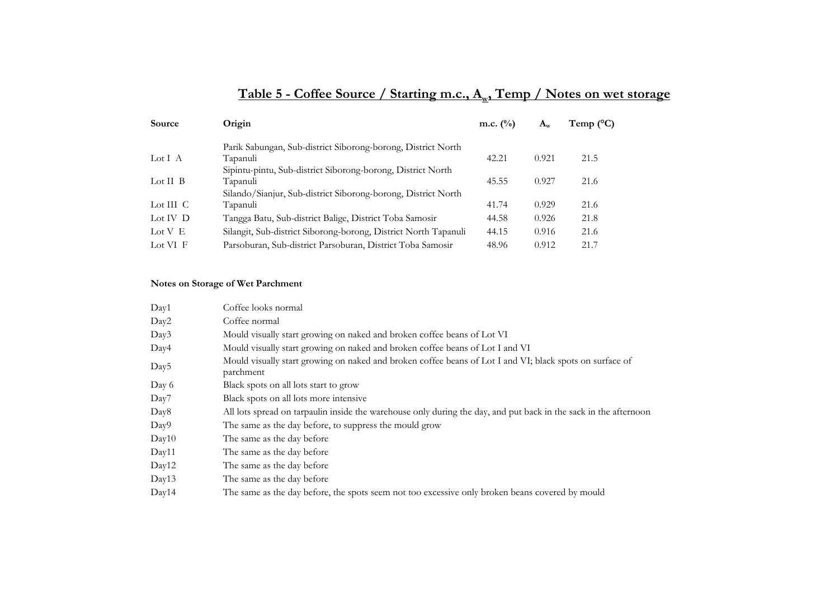# Table 5 - Coffee Source / Starting m.c., A<sub>w</sub>, Temp / Notes on wet storage

| <b>Source</b>      | Origin                                                          | m.c. $(\%)$ | $A_w$ | Temp ( $^{\circ}$ C) |
|--------------------|-----------------------------------------------------------------|-------------|-------|----------------------|
|                    | Parik Sabungan, Sub-district Siborong-borong, District North    |             |       |                      |
| Lot I A            | Tapanuli                                                        | 42.21       | 0.921 | 21.5                 |
|                    | Sipintu-pintu, Sub-district Siborong-borong, District North     |             |       |                      |
| Lot $II$ $B$       | Tapanuli                                                        | 45.55       | 0.927 | 21.6                 |
|                    | Silando/Sianjur, Sub-district Siborong-borong, District North   |             |       |                      |
| Lot III $\,$ C     | Tapanuli                                                        | 41.74       | 0.929 | 21.6                 |
| Lot IV $\mathbf D$ | Tangga Batu, Sub-district Balige, District Toba Samosir         | 44.58       | 0.926 | 21.8                 |
| Lot $V$ E          | Silangit, Sub-district Siborong-borong, District North Tapanuli | 44.15       | 0.916 | 21.6                 |
| Lot VI F           | Parsoburan, Sub-district Parsoburan, District Toba Samosir      | 48.96       | 0.912 | 21.7                 |

#### **Notes on Storage of Wet Parchment**

| Day1             | Coffee looks normal                                                                                                   |
|------------------|-----------------------------------------------------------------------------------------------------------------------|
| Day2             | Coffee normal                                                                                                         |
| Day3             | Mould visually start growing on naked and broken coffee beans of Lot VI                                               |
| Day4             | Mould visually start growing on naked and broken coffee beans of Lot I and VI                                         |
| Day <sub>5</sub> | Mould visually start growing on naked and broken coffee beans of Lot I and VI; black spots on surface of<br>parchment |
| Day 6            | Black spots on all lots start to grow                                                                                 |
| Day7             | Black spots on all lots more intensive.                                                                               |
| Day8             | All lots spread on tarpaulin inside the warehouse only during the day, and put back in the sack in the afternoon      |
| Day9             | The same as the day before, to suppress the mould grow                                                                |
| Day10            | The same as the day before                                                                                            |
| Day11            | The same as the day before                                                                                            |
| Day12            | The same as the day before                                                                                            |
| Day13            | The same as the day before                                                                                            |
| Day14            | The same as the day before, the spots seem not too excessive only broken beans covered by mould                       |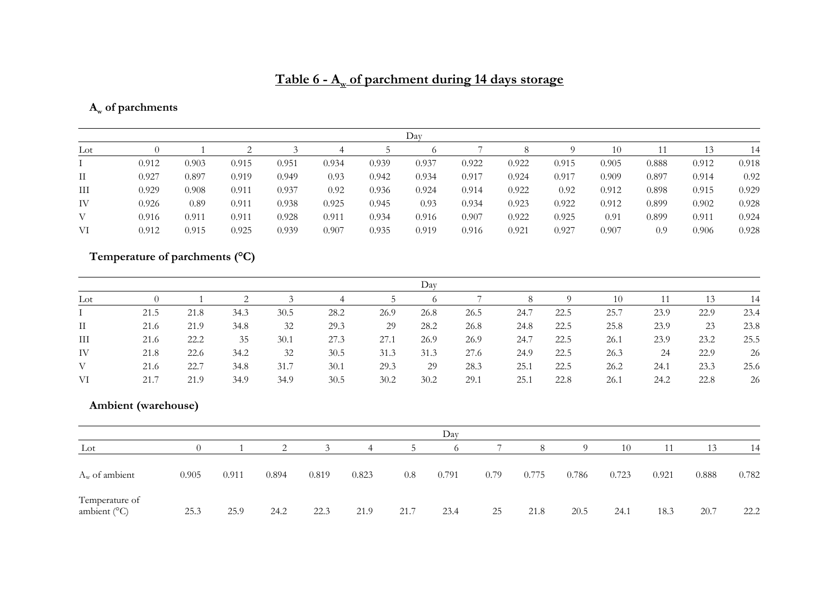# Table 6 - A<sub>w</sub> of parchment during 14 days storage

# **Aw of parchments**

|     |       |       |       |       |       |       | Dav   |       |       |       |       |       |       |       |
|-----|-------|-------|-------|-------|-------|-------|-------|-------|-------|-------|-------|-------|-------|-------|
| Lot |       |       |       |       |       |       |       |       |       |       | 10    | 11    | 13    | 14    |
|     | 0.912 | 0.903 | 0.915 | 0.951 | 0.934 | 0.939 | 0.937 | 0.922 | 0.922 | 0.915 | 0.905 | 0.888 | 0.912 | 0.918 |
| П   | 0.927 | 0.897 | 0.919 | 0.949 | 0.93  | 0.942 | 0.934 | 0.917 | 0.924 | 0.917 | 0.909 | 0.897 | 0.914 | 0.92  |
| Ш   | 0.929 | 0.908 | 0.911 | 0.937 | 0.92  | 0.936 | 0.924 | 0.914 | 0.922 | 0.92  | 0.912 | 0.898 | 0.915 | 0.929 |
| IV  | 0.926 | 0.89  | 0.911 | 0.938 | 0.925 | 0.945 | 0.93  | 0.934 | 0.923 | 0.922 | 0.912 | 0.899 | 0.902 | 0.928 |
| V   | 0.916 | 0.911 | 0.911 | 0.928 | 0.911 | 0.934 | 0.916 | 0.907 | 0.922 | 0.925 | 0.91  | 0.899 | 0.911 | 0.924 |
| VI  | 0.912 | 0.915 | 0.925 | 0.939 | 0.907 | 0.935 | 0.919 | 0.916 | 0.921 | 0.927 | 0.907 | 0.9   | 0.906 | 0.928 |

# **Temperature of parchments (°C)**

|              |      |      |      |      |      |      | Day  |      |      |      |      |      |      |      |
|--------------|------|------|------|------|------|------|------|------|------|------|------|------|------|------|
| $_{\rm Lot}$ |      |      |      |      |      |      |      |      |      |      | 10   |      | 13   | 14   |
|              | 21.5 | 21.8 | 34.3 | 30.5 | 28.2 | 26.9 | 26.8 | 26.5 | 24.7 | 22.5 | 25.7 | 23.9 | 22.9 | 23.4 |
| $\rm II$     | 21.6 | 21.9 | 34.8 | 32   | 29.3 | 29   | 28.2 | 26.8 | 24.8 | 22.5 | 25.8 | 23.9 | 23   | 23.8 |
| Ш            | 21.6 | 22.2 | 35   | 30.1 | 27.3 | 27.1 | 26.9 | 26.9 | 24.7 | 22.5 | 26.1 | 23.9 | 23.2 | 25.5 |
| IV           | 21.8 | 22.6 | 34.2 | 32   | 30.5 | 31.3 | 31.3 | 27.6 | 24.9 | 22.5 | 26.3 | 24   | 22.9 | 26   |
| V            | 21.6 | 22.7 | 34.8 | 31.7 | 30.1 | 29.3 | 29   | 28.3 | 25.1 | 22.5 | 26.2 | 24.1 | 23.3 | 25.6 |
| VI           | 21.7 | 21.9 | 34.9 | 34.9 | 30.5 | 30.2 | 30.2 | 29.1 | 25.1 | 22.8 | 26.1 | 24.2 | 22.8 | 26   |

## **Ambient (warehouse)**

|                                         |       |       |       |       |                |      | Day      |      |       |          |       |       |       |       |
|-----------------------------------------|-------|-------|-------|-------|----------------|------|----------|------|-------|----------|-------|-------|-------|-------|
| Lot                                     |       |       |       |       | $\overline{4}$ |      | $\Omega$ |      | 8     | $\Omega$ | 10    | 11    | 13    | 14    |
| $A_w$ of ambient                        | 0.905 | 0.911 | 0.894 | 0.819 | 0.823          | 0.8  | 0.791    | 0.79 | 0.775 | 0.786    | 0.723 | 0.921 | 0.888 | 0.782 |
| Temperature of<br>ambient $(^{\circ}C)$ | 25.3  | 25.9  | 24.2  | 22.3  | 21.9           | 21.7 | 23.4     | 25   | 21.8  | 20.5     | 24.1  | 18.3  | 20.7  | 22.2  |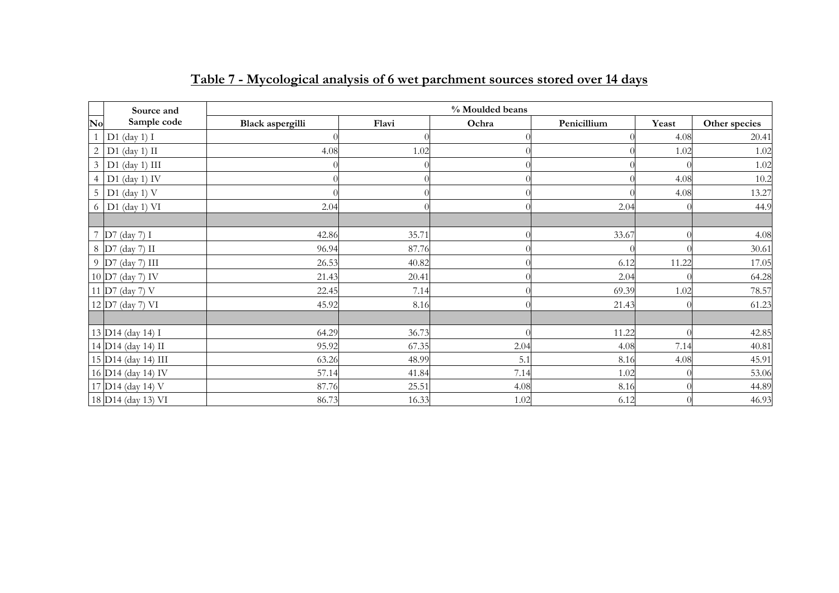|                | Source and                    |                  |       | % Moulded beans |             |       |               |
|----------------|-------------------------------|------------------|-------|-----------------|-------------|-------|---------------|
| No             | Sample code                   | Black aspergilli | Flavi | Ochra           | Penicillium | Yeast | Other species |
|                | $D1$ (day 1) I                |                  |       |                 |             | 4.08  | 20.41         |
| $\sqrt{2}$     | $D1$ (day 1) II               | 4.08             | 1.02  |                 |             | 1.02  | 1.02          |
| $\mathfrak{Z}$ | $D1$ (day 1) $III$            |                  |       |                 |             |       | 1.02          |
| $\overline{4}$ | $D1$ (day 1) IV               |                  |       |                 |             | 4.08  | 10.2          |
| $\overline{5}$ | $D1$ (day 1) V                |                  |       |                 |             | 4.08  | 13.27         |
|                | $6$ D1 (day 1) VI             | 2.04             |       |                 | 2.04        |       | 44.9          |
|                |                               |                  |       |                 |             |       |               |
| $\overline{7}$ | $D7$ (day 7) I                | 42.86            | 35.71 |                 | 33.67       |       | 4.08          |
|                | 8 D7 (day 7) II               | 96.94            | 87.76 |                 |             |       | 30.61         |
|                | 9 D7 (day 7) III              | 26.53            | 40.82 |                 | 6.12        | 11.22 | 17.05         |
|                | 10 D7 (day 7) IV              | 21.43            | 20.41 |                 | 2.04        |       | 64.28         |
|                | 11 D7 (day 7) V               | 22.45            | 7.14  |                 | 69.39       | 1.02  | 78.57         |
|                | 12 D7 (day 7) VI              | 45.92            | 8.16  |                 | 21.43       |       | 61.23         |
|                |                               |                  |       |                 |             |       |               |
|                | 13 D14 (day 14) I             | 64.29            | 36.73 |                 | 11.22       |       | 42.85         |
|                | 14 D14 (day 14) II            | 95.92            | 67.35 | 2.04            | 4.08        | 7.14  | 40.81         |
|                | 15 D14 (day 14) III           | 63.26            | 48.99 | 5.1             | 8.16        | 4.08  | 45.91         |
|                | 16 D14 (day 14) IV            | 57.14            | 41.84 | 7.14            | 1.02        |       | 53.06         |
|                | 17 D <sub>14</sub> (day 14) V | 87.76            | 25.51 | 4.08            | 8.16        |       | 44.89         |
|                | 18 D14 (day 13) VI            | 86.73            | 16.33 | 1.02            | 6.12        |       | 46.93         |

# **Table 7 - Mycological analysis of 6 wet parchment sources stored over 14 days**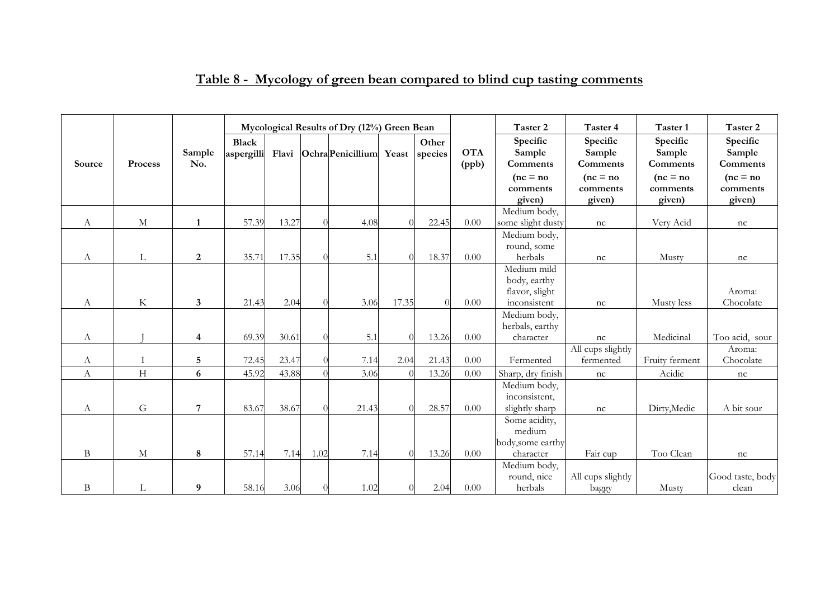|              |             |               |                     |       |      | Mycological Results of Dry (12%) Green Bean |          |                  |                     | Taster 2                       | Taster 4                       | Taster 1                       | Taster 2                       |
|--------------|-------------|---------------|---------------------|-------|------|---------------------------------------------|----------|------------------|---------------------|--------------------------------|--------------------------------|--------------------------------|--------------------------------|
| Source       | Process     | Sample<br>No. | Black<br>aspergilli |       |      | Flavi Ochra Penicillium Yeast               |          | Other<br>species | <b>OTA</b><br>(ppb) | Specific<br>Sample<br>Comments | Specific<br>Sample<br>Comments | Specific<br>Sample<br>Comments | Specific<br>Sample<br>Comments |
|              |             |               |                     |       |      |                                             |          |                  |                     | $(nc = no)$                    | $(nc = no)$                    | $(nc = no)$                    | $(nc = no)$                    |
|              |             |               |                     |       |      |                                             |          |                  |                     | comments<br>given)             | comments<br>given)             | comments<br>given)             | comments<br>given)             |
|              |             |               |                     |       |      |                                             |          |                  |                     | Medium body,                   |                                |                                |                                |
| А            | $\mathbf M$ | $\mathbf{1}$  | 57.39               | 13.27 |      | 4.08                                        |          | 22.45            | $0.00\,$            | some slight dusty              | nc                             | Very Acid                      | nc                             |
|              |             |               |                     |       |      |                                             |          |                  |                     | Medium body,                   |                                |                                |                                |
|              |             |               |                     |       |      |                                             |          |                  |                     | round, some                    |                                |                                |                                |
| А            | L           | 2             | 35.71               | 17.35 |      | 5.1                                         |          | 18.37            | $0.00\,$            | herbals                        | nc                             | Musty                          | nc                             |
|              |             |               |                     |       |      |                                             |          |                  |                     | Medium mild                    |                                |                                |                                |
|              |             |               |                     |       |      |                                             |          |                  |                     | body, earthy                   |                                |                                |                                |
|              |             |               |                     |       |      |                                             |          |                  |                     | flavor, slight                 |                                |                                | Aroma:                         |
| А            | $\rm K$     | 3             | 21.43               | 2.04  |      | 3.06                                        | 17.35    |                  | 0.00                | inconsistent                   | nc                             | Musty less                     | Chocolate                      |
|              |             |               |                     |       |      |                                             |          |                  |                     | Medium body,                   |                                |                                |                                |
| А            |             | 4             | 69.39               | 30.61 |      | 5.1                                         |          | 13.26            | $0.00\,$            | herbals, earthy<br>character   | nc                             | Medicinal                      | Too acid, sour                 |
|              |             |               |                     |       |      |                                             |          |                  |                     |                                | All cups slightly              |                                | Aroma:                         |
| А            | $\mathbf I$ | $\sqrt{5}$    | 72.45               | 23.47 |      | 7.14                                        | 2.04     | 21.43            | $0.00\,$            | Fermented                      | fermented                      | Fruity ferment                 | Chocolate                      |
| А            | H           | 6             | 45.92               | 43.88 |      | 3.06                                        |          | 13.26            | 0.00                | Sharp, dry finish              | nc                             | Acidic                         | nc                             |
|              |             |               |                     |       |      |                                             |          |                  |                     | Medium body,                   |                                |                                |                                |
|              |             |               |                     |       |      |                                             |          |                  |                     | inconsistent,                  |                                |                                |                                |
| А            | G           | 7             | 83.67               | 38.67 |      | 21.43                                       |          | 28.57            | $0.00\,$            | slightly sharp                 | nc                             | Dirty, Medic                   | A bit sour                     |
|              |             |               |                     |       |      |                                             |          |                  |                     | Some acidity,                  |                                |                                |                                |
|              |             |               |                     |       |      |                                             |          |                  |                     | medium                         |                                |                                |                                |
|              |             |               |                     |       |      |                                             |          |                  |                     | body, some earthy              |                                |                                |                                |
| $\, {\bf B}$ | $\mathbf M$ | 8             | 57.14               | 7.14  | 1.02 | 7.14                                        | $\Omega$ | 13.26            | $0.00\,$            | character                      | Fair cup                       | Too Clean                      | nc                             |
|              |             |               |                     |       |      |                                             |          |                  |                     | Medium body,                   |                                |                                |                                |
|              |             |               |                     |       |      |                                             |          |                  |                     | round, nice                    | All cups slightly              |                                | Good taste, body               |
| B            | L           | 9             | 58.16               | 3.06  |      | 1.02                                        | 0        | 2.04             | 0.00                | herbals                        | baggy                          | Musty                          | clean                          |

# **Table 8 - Mycology of green bean compared to blind cup tasting comments**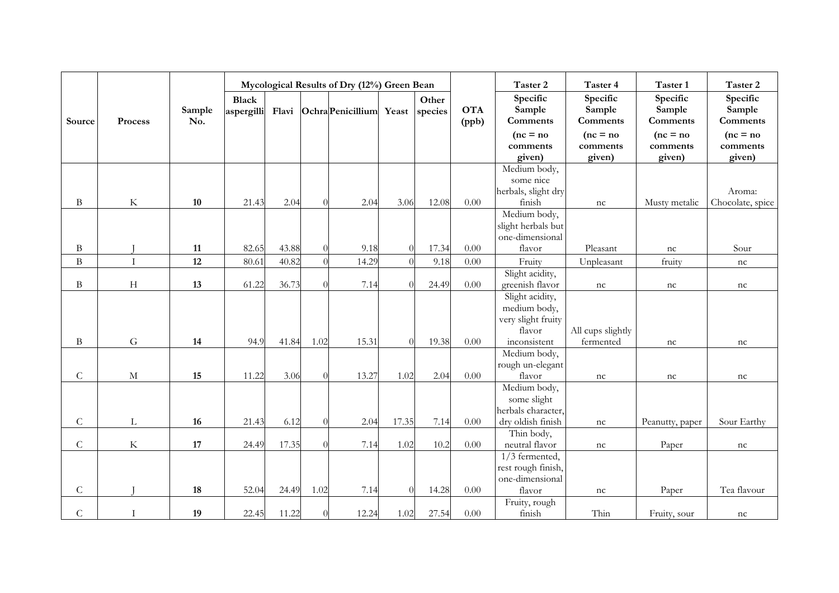|                |             |               |              |       |           | Mycological Results of Dry (12%) Green Bean |          |         |            | Taster 2                              | Taster 4           | Taster 1           | Taster 2                     |
|----------------|-------------|---------------|--------------|-------|-----------|---------------------------------------------|----------|---------|------------|---------------------------------------|--------------------|--------------------|------------------------------|
|                |             |               | <b>Black</b> |       |           |                                             |          | Other   |            | Specific                              | Specific           | Specific           | Specific                     |
| Source         | Process     | Sample<br>No. | aspergilli   |       |           | Flavi Ochra Penicillium Yeast               |          | species | <b>OTA</b> | Sample<br>Comments                    | Sample<br>Comments | Sample<br>Comments | Sample<br><b>Comments</b>    |
|                |             |               |              |       |           |                                             |          |         | (ppb)      | $(nc = no)$                           | $(nc = no)$        | $(nc = no)$        | $(nc = no)$                  |
|                |             |               |              |       |           |                                             |          |         |            | comments                              | comments           | comments           | comments                     |
|                |             |               |              |       |           |                                             |          |         |            | given)                                | given)             | given)             | given)                       |
|                |             |               |              |       |           |                                             |          |         |            | Medium body,                          |                    |                    |                              |
|                |             |               |              |       |           |                                             |          |         |            | some nice                             |                    |                    |                              |
|                |             |               |              |       |           |                                             |          |         |            | herbals, slight dry                   |                    |                    | Aroma:                       |
| B              | $\rm K$     | $10\,$        | 21.43        | 2.04  | $\theta$  | 2.04                                        | 3.06     | 12.08   | $0.00\,$   | finish                                | nc                 | Musty metalic      | Chocolate, spice             |
|                |             |               |              |       |           |                                             |          |         |            | Medium body,                          |                    |                    |                              |
|                |             |               |              |       |           |                                             |          |         |            | slight herbals but<br>one-dimensional |                    |                    |                              |
| B              |             | 11            | 82.65        | 43.88 | $\Omega$  | 9.18                                        |          | 17.34   | 0.00       | flavor                                | Pleasant           | nc                 | Sour                         |
| $\mathbf{B}$   | $\rm I$     | 12            | 80.61        | 40.82 | $\theta$  | 14.29                                       |          | 9.18    | $0.00\,$   | Fruity                                | Unpleasant         | fruity             |                              |
|                |             |               |              |       |           |                                             |          |         |            | Slight acidity,                       |                    |                    | $\ensuremath{\mathfrak{nc}}$ |
| B              | H           | 13            | 61.22        | 36.73 | $\Omega$  | 7.14                                        |          | 24.49   | $0.00\,$   | greenish flavor                       | nc                 | nc                 | nc                           |
|                |             |               |              |       |           |                                             |          |         |            | Slight acidity,                       |                    |                    |                              |
|                |             |               |              |       |           |                                             |          |         |            | medium body,                          |                    |                    |                              |
|                |             |               |              |       |           |                                             |          |         |            | very slight fruity                    |                    |                    |                              |
|                |             |               |              |       |           |                                             |          |         |            | flavor                                | All cups slightly  |                    |                              |
| $\bf{B}$       | G           | 14            | 94.9         | 41.84 | 1.02      | 15.31                                       | $\Omega$ | 19.38   | 0.00       | inconsistent                          | fermented          | nc                 | nc                           |
|                |             |               |              |       |           |                                             |          |         |            | Medium body,                          |                    |                    |                              |
|                |             |               |              |       |           |                                             |          |         |            | rough un-elegant                      |                    |                    |                              |
| $\mathsf C$    | M           | 15            | 11.22        | 3.06  | $\Omega$  | 13.27                                       | 1.02     | 2.04    | $0.00\,$   | flavor                                | nc                 | nc                 | nc                           |
|                |             |               |              |       |           |                                             |          |         |            | Medium body,                          |                    |                    |                              |
|                |             |               |              |       |           |                                             |          |         |            | some slight<br>herbals character,     |                    |                    |                              |
| $\mathsf C$    | L           | 16            | 21.43        | 6.12  | $\theta$  | 2.04                                        | 17.35    | 7.14    | 0.00       | dry oldish finish                     | nc                 | Peanutty, paper    | Sour Earthy                  |
|                |             |               |              |       |           |                                             |          |         |            | Thin body,                            |                    |                    |                              |
| $\overline{C}$ | $\rm K$     | 17            | 24.49        | 17.35 | $\bigcap$ | 7.14                                        | 1.02     | 10.2    | 0.00       | neutral flavor                        | nc                 | Paper              | nc                           |
|                |             |               |              |       |           |                                             |          |         |            | $1/3$ fermented,                      |                    |                    |                              |
|                |             |               |              |       |           |                                             |          |         |            | rest rough finish,                    |                    |                    |                              |
|                |             |               |              |       |           |                                             |          |         |            | one-dimensional                       |                    |                    |                              |
| $\mathsf{C}$   |             | 18            | 52.04        | 24.49 | 1.02      | 7.14                                        | $\Omega$ | 14.28   | $0.00\,$   | flavor                                | nc                 | Paper              | Tea flavour                  |
|                |             |               |              |       |           |                                             |          |         |            | Fruity, rough                         |                    |                    |                              |
| $\mathsf{C}$   | $\mathbf I$ | 19            | 22.45        | 11.22 | $\Omega$  | 12.24                                       | 1.02     | 27.54   | $0.00\,$   | finish                                | Thin               | Fruity, sour       | nc                           |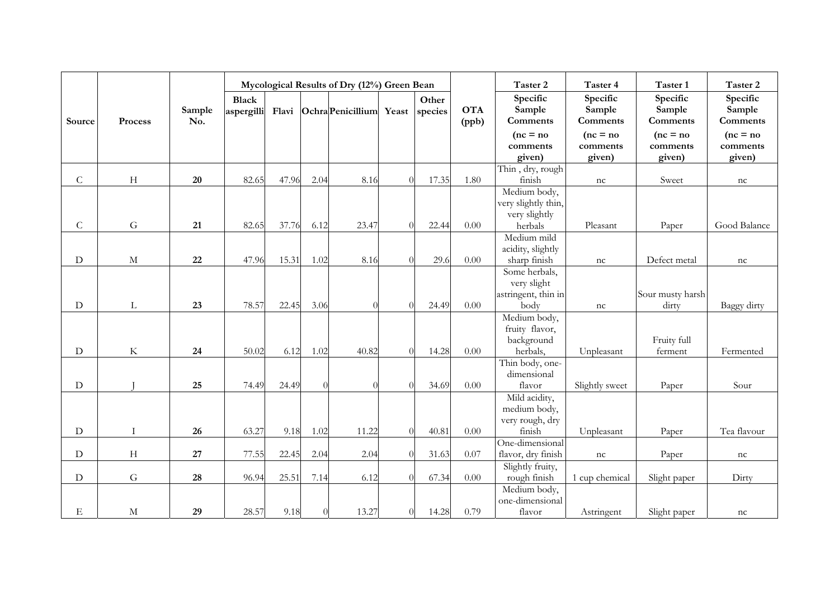|              |             |               |                            |       |          |                         | Mycological Results of Dry (12%) Green Bean |                  |                     | Taster 2                       | Taster 4                       | Taster 1                       | Taster 2                       |
|--------------|-------------|---------------|----------------------------|-------|----------|-------------------------|---------------------------------------------|------------------|---------------------|--------------------------------|--------------------------------|--------------------------------|--------------------------------|
| Source       | Process     | Sample<br>No. | <b>Black</b><br>aspergilli |       |          | Flavi Ochra Penicillium | Yeast                                       | Other<br>species | <b>OTA</b><br>(ppb) | Specific<br>Sample<br>Comments | Specific<br>Sample<br>Comments | Specific<br>Sample<br>Comments | Specific<br>Sample<br>Comments |
|              |             |               |                            |       |          |                         |                                             |                  |                     | $(nc = no)$                    | $(nc = no)$                    | $(nc = no)$                    | $(nc = no)$                    |
|              |             |               |                            |       |          |                         |                                             |                  |                     | comments                       | comments                       | comments                       | comments                       |
|              |             |               |                            |       |          |                         |                                             |                  |                     | given)                         | given)                         | given)                         | given)                         |
| $\mathsf{C}$ | H           | $20\,$        | 82.65                      | 47.96 | 2.04     | 8.16                    |                                             | 17.35            | 1.80                | Thin, dry, rough<br>finish     | nc                             | Sweet                          | nc                             |
|              |             |               |                            |       |          |                         |                                             |                  |                     | Medium body,                   |                                |                                |                                |
|              |             |               |                            |       |          |                         |                                             |                  |                     | very slightly thin,            |                                |                                |                                |
|              |             |               |                            |       |          |                         |                                             |                  |                     | very slightly                  |                                |                                |                                |
| $\mathsf C$  | G           | 21            | 82.65                      | 37.76 | 6.12     | 23.47                   |                                             | 22.44            | 0.00                | herbals                        | Pleasant                       | Paper                          | Good Balance                   |
|              |             |               |                            |       |          |                         |                                             |                  |                     | Medium mild                    |                                |                                |                                |
|              |             |               |                            |       |          |                         |                                             |                  |                     | acidity, slightly              |                                |                                |                                |
| D            | $\mathbf M$ | $22\,$        | 47.96                      | 15.31 | 1.02     | 8.16                    |                                             | 29.6             | 0.00                | sharp finish                   | nc                             | Defect metal                   | nc                             |
|              |             |               |                            |       |          |                         |                                             |                  |                     | Some herbals,                  |                                |                                |                                |
|              |             |               |                            |       |          |                         |                                             |                  |                     | very slight                    |                                |                                |                                |
|              |             |               |                            |       |          |                         |                                             |                  |                     | astringent, thin in            |                                | Sour musty harsh               |                                |
| D            | L           | 23            | 78.57                      | 22.45 | 3.06     | $\bigcap$               |                                             | 24.49            | $0.00\,$            | body                           | nc                             | dirty                          | Baggy dirty                    |
|              |             |               |                            |       |          |                         |                                             |                  |                     | Medium body,                   |                                |                                |                                |
|              |             |               |                            |       |          |                         |                                             |                  |                     | fruity flavor,                 |                                |                                |                                |
| D            | K           | 24            | 50.02                      | 6.12  | 1.02     | 40.82                   |                                             | 14.28            | $0.00\,$            | background<br>herbals,         | Unpleasant                     | Fruity full<br>ferment         | Fermented                      |
|              |             |               |                            |       |          |                         |                                             |                  |                     | Thin body, one-                |                                |                                |                                |
|              |             |               |                            |       |          |                         |                                             |                  |                     | dimensional                    |                                |                                |                                |
| ${\rm D}$    |             | 25            | 74.49                      | 24.49 | $\Omega$ | $\Omega$                |                                             | 34.69            | $0.00\,$            | flavor                         | Slightly sweet                 | Paper                          | Sour                           |
|              |             |               |                            |       |          |                         |                                             |                  |                     | Mild acidity,                  |                                |                                |                                |
|              |             |               |                            |       |          |                         |                                             |                  |                     | medium body,                   |                                |                                |                                |
|              |             |               |                            |       |          |                         |                                             |                  |                     | very rough, dry                |                                |                                |                                |
| D            | $\mathbf I$ | 26            | 63.27                      | 9.18  | 1.02     | 11.22                   |                                             | 40.81            | 0.00                | finish                         | Unpleasant                     | Paper                          | Tea flavour                    |
|              |             |               |                            |       |          |                         |                                             |                  |                     | One-dimensional                |                                |                                |                                |
| D            | H           | 27            | 77.55                      | 22.45 | 2.04     | 2.04                    |                                             | 31.63            | 0.07                | flavor, dry finish             | nc                             | Paper                          | nc                             |
|              |             |               |                            |       |          |                         |                                             |                  |                     | Slightly fruity,               |                                |                                |                                |
| D            | ${\bf G}$   | ${\bf 28}$    | 96.94                      | 25.51 | 7.14     | 6.12                    |                                             | 67.34            | $0.00\,$            | rough finish                   | 1 cup chemical                 | Slight paper                   | Dirty                          |
|              |             |               |                            |       |          |                         |                                             |                  |                     | Medium body,                   |                                |                                |                                |
|              |             |               |                            |       |          |                         |                                             |                  |                     | one-dimensional                |                                |                                |                                |
| Ε            | $\mathbf M$ | 29            | 28.57                      | 9.18  |          | 13.27                   |                                             | 14.28            | 0.79                | flavor                         | Astringent                     | Slight paper                   | nc                             |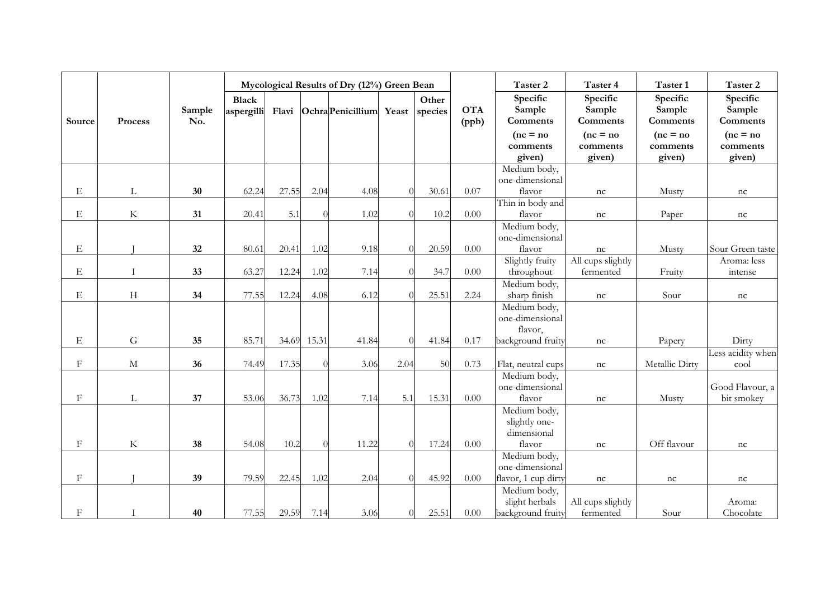|              |              |               |                            |       |          | Mycological Results of Dry (12%) Green Bean |          |                  |                     | Taster 2                       | Taster 4                       | Taster 1                       | Taster 2                       |
|--------------|--------------|---------------|----------------------------|-------|----------|---------------------------------------------|----------|------------------|---------------------|--------------------------------|--------------------------------|--------------------------------|--------------------------------|
| Source       | Process      | Sample<br>No. | <b>Black</b><br>aspergilli |       |          | Flavi Ochra Penicillium                     | Yeast    | Other<br>species | <b>OTA</b><br>(ppb) | Specific<br>Sample<br>Comments | Specific<br>Sample<br>Comments | Specific<br>Sample<br>Comments | Specific<br>Sample<br>Comments |
|              |              |               |                            |       |          |                                             |          |                  |                     | $(nc = no)$                    | $(nc = no)$                    | $(nc = no)$                    | $(nc = no)$                    |
|              |              |               |                            |       |          |                                             |          |                  |                     | comments                       | comments                       | comments                       | comments                       |
|              |              |               |                            |       |          |                                             |          |                  |                     | given)                         | given)                         | given)                         | given)                         |
|              |              |               |                            |       |          |                                             |          |                  |                     | Medium body,                   |                                |                                |                                |
|              |              |               |                            |       |          |                                             |          |                  |                     | one-dimensional                |                                |                                |                                |
| Ε            | L            | 30            | 62.24                      | 27.55 | 2.04     | 4.08                                        |          | 30.61            | 0.07                | flavor                         | nc                             | Musty                          | nc                             |
|              |              |               |                            |       |          |                                             |          |                  |                     | Thin in body and               |                                |                                |                                |
| $\mathbf E$  | $\rm K$      | 31            | 20.41                      | 5.1   |          | 1.02                                        |          | 10.2             | 0.00                | flavor                         | nc                             | Paper                          | nc                             |
|              |              |               |                            |       |          |                                             |          |                  |                     | Medium body,                   |                                |                                |                                |
|              |              |               |                            |       |          |                                             |          |                  |                     | one-dimensional                |                                |                                |                                |
| Ε            |              | 32            | 80.61                      | 20.41 | 1.02     | 9.18                                        |          | 20.59            | $0.00\,$            | flavor                         | nc                             | Musty                          | Sour Green taste               |
|              |              |               |                            |       |          |                                             |          |                  |                     | Slightly fruity                | All cups slightly              |                                | Aroma: less                    |
| Ε            | $\mathbf{I}$ | 33            | 63.27                      | 12.24 | 1.02     | 7.14                                        |          | 34.7             | $0.00\,$            | throughout                     | fermented                      | Fruity                         | intense                        |
|              |              |               |                            |       |          |                                             |          |                  |                     | Medium body,                   |                                |                                |                                |
| Ε            | H            | 34            | 77.55                      | 12.24 | 4.08     | 6.12                                        |          | 25.51            | 2.24                | sharp finish                   | nc                             | Sour                           | nc                             |
|              |              |               |                            |       |          |                                             |          |                  |                     | Medium body,                   |                                |                                |                                |
|              |              |               |                            |       |          |                                             |          |                  |                     | one-dimensional                |                                |                                |                                |
|              |              |               |                            |       |          |                                             |          |                  |                     | flavor,                        |                                |                                |                                |
| $\mathbf E$  | G            | 35            | 85.71                      | 34.69 | 15.31    | 41.84                                       | $\Omega$ | 41.84            | 0.17                | background fruity              | nc                             | Papery                         | Dirty                          |
|              |              |               |                            |       |          |                                             |          |                  |                     |                                |                                |                                | Less acidity when              |
| $\mathbf{F}$ | $\mathbf M$  | 36            | 74.49                      | 17.35 | $\Omega$ | 3.06                                        | 2.04     | 50               | 0.73                | Flat, neutral cups             | nc                             | Metallic Dirty                 | cool                           |
|              |              |               |                            |       |          |                                             |          |                  |                     | Medium body,                   |                                |                                |                                |
|              |              |               |                            |       |          |                                             |          |                  |                     | one-dimensional                |                                |                                | Good Flavour, a                |
| $\mathbf F$  | L            | 37            | 53.06                      | 36.73 | 1.02     | 7.14                                        | 5.1      | 15.31            | $0.00\,$            | flavor                         | nc                             | Musty                          | bit smokey                     |
|              |              |               |                            |       |          |                                             |          |                  |                     | Medium body,                   |                                |                                |                                |
|              |              |               |                            |       |          |                                             |          |                  |                     | slightly one-                  |                                |                                |                                |
|              |              |               |                            |       |          |                                             |          |                  |                     | dimensional                    |                                |                                |                                |
| $_{\rm F}$   | $\rm K$      | 38            | 54.08                      | 10.2  | $\Omega$ | 11.22                                       | $\Omega$ | 17.24            | $0.00\,$            | flavor                         | nc                             | Off flavour                    | nc                             |
|              |              |               |                            |       |          |                                             |          |                  |                     | Medium body,                   |                                |                                |                                |
|              |              |               |                            |       |          |                                             |          |                  |                     | one-dimensional                |                                |                                |                                |
| $_{\rm F}$   |              | 39            | 79.59                      | 22.45 | 1.02     | 2.04                                        |          | 45.92            | 0.00                | flavor, 1 cup dirty            | nc                             | nc                             | nc                             |
|              |              |               |                            |       |          |                                             |          |                  |                     | Medium body,                   |                                |                                |                                |
|              |              |               |                            |       |          |                                             |          |                  |                     | slight herbals                 | All cups slightly              |                                | Aroma:                         |
| $\rm F$      | $\mathbf{I}$ | 40            | 77.55                      | 29.59 | 7.14     | 3.06                                        |          | 25.51            | $0.00\,$            | background fruity              | fermented                      | Sour                           | Chocolate                      |